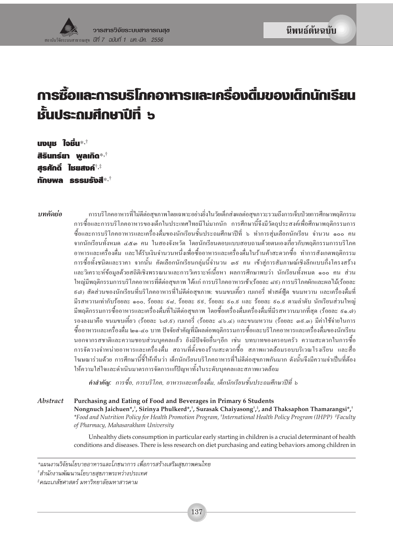## เรื่องที่มของเด็กนักเรียน ้การซื้อและการบริโภคอาหารและเค ชั้นประถมศึกษาปีที่ ๖

upun ใจมื่น\*<sup>,†</sup> สิรินทร์ยา พลเกิด\*<sup>,†</sup> สรศักดิ์ ไม<sub>่</sub>ยสงค์\*\* **ทักษพล ธรรมรังสี**\*<sup>,†</sup>

าเทคัดย่อ

การบริโภคอาหารที่ไม่ดีต่อสขภาพโดยเฉพาะอย่างยิ่งในวัยเด็กส่งผลต่อสขภาวะรวมถึงการเจ็บป่วยการศึกษาพฤติกรรม ้การซื้อและการบริโภคอาหารของเด็กในประเทศไทยมีไม่มากนัก การศึกษานี้จึงมีวัตถประสงค์เพื่อศึกษาพฤติกรรมการ ซื้อและการบริโภคอาหารและเครื่องคื่มของนักเรียนชั้นประถมศึกษาปีที่ ๖ ทำการส่มเลือกนักเรียน จำนวน ๑๐๐ คน ึ่งากนักเรียนทั้งหมด ๔๕๑ คน ในสองจังหวัด โดยนักเรียนตอบแบบสอบถามด้วยตนเองเกี่ยวกับพฤติกรรมการบริโภค ้อาหารและเครื่องคืม และได้รับเงินจำนวนหนึ่งเพื่อซื้ออาหารและเครื่องคืมในร้านค้าสะดวกซื้อ ทำการสังเกตพฤติกรรม ึการซื้อทั้งชนิดและราคา จากนั้น คัดเลือกนักเรียนกลุ่มนี้จำนวน ๑៩ คน เข้าสู่การสัมภาษณ์เชิงลึกแบบกึ่งโครงสร้าง และวิเคราะห์ข้อมลด้วยสถิติเชิงพรรณนาและการวิเคราะห์เนื้อหา ผลการศึกษาพบว่า นักเรียนทั้งหมด ๑๐๐ คน ส่วน ใหญ่มีพฤติกรรมการบริโภคอาหารที่ดีต่อสขภาพ ได้แก่ การบริโภคอาหารเช้า(ร้อยละ ๘៩) การบริโภคผักและผลไม้(ร้อยละ ่ ธ<sub>ี</sub>๘) สัดส่วนของนักเรียนที่บริโภคอาหารที่ไม่ดีต่อสขภาพ: ขนมขบเคี้ยว เบเกอรี่ ฟาสต์ฟัด ขนมหวาน และเครื่องดื่มที่ มีรสหวานเท่ากับร้อยละ ๑๐๐, ร้อยละ ៩๘, ร้อยละ ៩៩, ร้อยละ ៩๐.៩ และ ร้อยละ ៩๐.៩ ตามลำดับ นักเรียนส่วนใหญ่ ้มีพฤติกรรมการซื้ออาหารและเครื่องคื่มที่ไม่คีต่อสขภาพ โดยซื้อเครื่องคื่มเครื่องคื่มที่มีรสหวานมากที่สด (ร้อยละ ៩๑.๗) รองลงมาคือ ขนมขบเคี้ยว (ร้อยละ ๖๗.ธ) เบเกอรี่ (ร้อยละ ๔๖.๔) และขนมหวาน (ร้อยละ ๓ธ.๓) มีค่าใช้ง่ายในการ ซื้ออาหารและเครื่องคื่ม ๒๑-๔๐ บาท ปัจจัยสำคัญที่มีผลต่อพฤติกรรมการซื้อและบริโภคอาหารและเครื่องคื่มของนักเรียน ินอกจากรสชาติและความชอบส่วนบคคลแล้ว ยังมีปัจจัยอื่นๆอีก เช่น บทบาทของครอบครัว ความสะดวกในการซื้อ ึการจัดวางจำหน่ายอาหารและเครื่องดื่ม สถานที่ตั้งของร้านสะดวกซื้อ สภาพแวดล้อมรอบบริเวณโรงเรียน และสื่อ โฆษณาร่วมด้วย การศึกษานี้ชี้ให้เห็นว่า เด็กนักเรียนบริโภคอาหารที่ไม่ดีต่อสขภาพกันมาก ดังนั้นจึงมีความจำเป็นที่ต้อง ให้ความใส่ใจและดำเนินมาตรการจัดการแก้ปัญหาทั้งในระดับบุคคลและสภาพแวดล้อม

คำสำคัญ: การซื้อ, การบริโภค, อาหารและเครื่องดื่ม, เด็กนักเรียนชั้นประถมศึกษาปีที่ ๖

**Abstract** Purchasing and Eating of Food and Beverages in Primary 6 Students Nongnuch Jaichuen\*,†, Sirinya Phulkerd\*,†, Surasak Chaiyasong†,\*, and Thaksaphon Thamarangsi\*,† \*Food and Nutrition Policy for Health Promotion Program, 'International Health Policy Program (IHPP) \*Faculty of Pharmacy, Mahasarakham University

> Unhealthy diets consumption in particular early starting in children is a crucial determinant of health conditions and diseases. There is less research on diet purchasing and eating behaviors among children in

<sup>\*</sup>แผนงานวิจัยนโยบายอาหารและโภชนาการ เพื่อการสร้างเสริมสขภาพคนไทย

<sup>†่</sup>สำนักงานพัฒนานโยบายสุขภาพระหว่างประเทศ

<sup>‡</sup>คณะเภสัชศาสตร์ มหาวิทยาลัยมหาสารคาม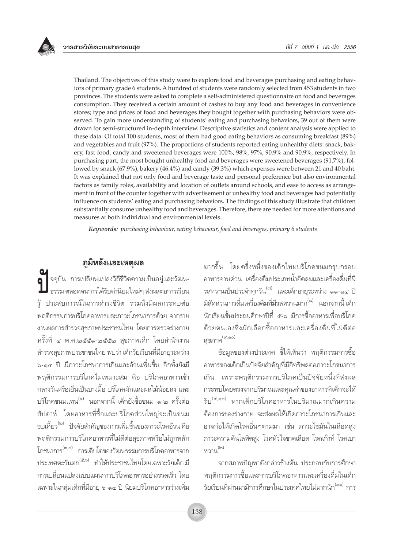Thailand. The objectives of this study were to explore food and beverages purchasing and eating behaviors of primary grade 6 students. A hundred of students were randomly selected from 453 students in two provinces. The students were asked to complete a self-administered questionnaire on food and beverages consumption. They received a certain amount of cashes to buy any food and beverages in convenience stores; type and prices of food and beverages they bought together with purchasing behaviors were observed. To gain more understanding of students' eating and purchasing behaviors, 39 out of them were drawn for semi-structured in-depth interview. Descriptive statistics and content analysis were applied to these data. Of total 100 students, most of them had good eating behaviors as consuming breakfast (89%) and vegetables and fruit (97%). The proportions of students reported eating unhealthy diets: snack, bakery, fast food, candy and sweetened beverages were 100%, 98%, 97%, 90.9% and 90.9%, respectively. In purchasing part, the most bought unhealthy food and beverages were sweetened beverages (91.7%), followed by snack (67.9%), bakery (46.4%) and candy (39.3%) which expenses were between 21 and 40 baht. It was explained that not only food and beverage taste and personal preference but also environmental factors as family roles, availability and location of outlets around schools, and ease to access as arrangement in front of the counter together with advertisement of unhealthy food and beverages had potentially influence on students' eating and purchasing behaviors. The findings of this study illustrate that children substantially consume unhealthy food and beverages. Therefore, there are needed for more attentions and measures at both individual and environmental levels.

Keywords: purchasing behaviour, eating behaviour, food and beverages, primary 6 students

## ภูมิหลังและเหตุผล

์<br>| จจุบัน การเปลี่ยนแปลงวิถีชีวิตความเป็นอยู่และวัฒน-<br>| ธรรม ตลอดจนการได้รับค่านิยมใหม่ๆ ส่งผลต่อการเรียน รู้ ประสบการณ์ในการดำรงชีวิต รวมถึงมีผลกระทบต่อ พฤติกรรมการบริโภคอาหารและภาวะโภชนาการด้วย จากราย งานผลการสำรวจสุขภาพประชาชนไทย โดยการตรวจร่างกาย ครั้งที่ ๔ พ.ศ.๒๕๕๑-๒๕๕๒ สุขภาพเด็ก โดยสำนักงาน ้สำรวจสุขภาพประชาชนไทย พบว่า เด็กวัยเรียนที่มีอายุระหว่าง ็<sub>อ-ด๔</sub> ปี มีภาวะโภชนาการเกินและอ้วนเพิ่มขึ้น อีกทั้งยังมี พฤติกรรมการบริโภคไม่เหมาะสม คือ บริโภคอาหารเช้า ำลางวันหรือเย็นเป็นบางมื้อ บริโภคผักและผลไม้น้อยลง และ ้บริโภคขนมแทน<sup>(๑)</sup> นอกจากนี้ เด็กยังซื้อขนม ๑-๒ ครั้งต่อ ้สัปดาห์ โดยอาหารที่ซื้อและบริโภคส่วนใหญ่จะเป็นขนม ขบเคี้ยว<sup>(๒)</sup> ปัจจัยสำคัญของการเพิ่มขึ้นของภาวะโรคอ้วน คือ พฤติกรรมการบริโภคอาหารที่ไม่ดีต่อสุขภาพหรือไม่ถูกหลัก โภชนาการ<sup>(๓,๔)</sup> การเติบโตของวัฒนธรรมการบริโภคอาหารจาก ประเทศตะวันตก<sup>(๕,๖)</sup> ทำให้ประชาชนไทยโดยเฉพาะวัยเด็ก มี ้การเปลี่ยนแปลงแบบแผนการบริโภคอาหารอย่างรวดเร็ว โดย เฉพาะในกลุ่มเด็กที่มีอายุ ๖-๑๔ ปี นิยมบริโภคอาหารว่างเพิ่ม

มากขึ้น โดยครึ่งหนึ่งของเด็กไทยบริโภคขนมกรุบกรอบ อาหารจานด่วน เครื่องดื่มประเภทน้ำอัดลมและเครื่องดื่มที่มี รสหวานเป็นประจำทุกวัน<sup>(๗)</sup> และเด็กอายุระหว่าง ๑๑-๑๔ ปี มีสัดส่วนการดื่มเครื่องดื่มที่มีรสหวานมาก<sup>(๘)</sup> นอกจากนี้ เด็ก นักเรียนชั้นประถมศึกษาปีที่ ๕-๖ มีการซื้ออาหารเพื่อบริโภค ด้วยตนเองซึ่งมักเลือกซื้ออาหารและเครื่องดื่มที่ไม่ดีต่อ สขภาพ<sup>(๙,๑๐)</sup>

ข้อมูลของต่างประเทศ ชี้ให้เห็นว่า พฤติกรรมการซื้อ อาหารของเด็กเป็นปัจจัยสำคัญที่มีอิทธิพลต่อภาวะโภชนาการ เกิน เพราะพฤติกรรมการบริโภคเป็นปัจจัยหนึ่งที่ส่งผล กระทบโดยตรงจากปริมาณและคณค่าของอาหารที่เด็กจะได้ รับ<sup>(ส,๑๐)</sup> หากเด็กบริโภคอาหารในปริมาณมากเกินความ ต้องการของร่างกาย จะส่งผลให้เกิดภาวะโภชนาการเกินและ อาจก่อให้เกิดโรคอื่นๆตามมา เช่น ภาวะไขมันในเลือดสูง ภาวะความดันโลหิตสูง โรคหัวใจขาดเลือด โรคเก๊าท์ โรคเบา หวาน<sup>(๒)</sup>

จากสภาพปัญหาดังกล่าวข้างต้น ประกอบกับการศึกษา ้พฤติกรรมการซื้อและการบริโภคอาหารและเครื่องดื่มในเด็ก วัยเรียนที่ผ่านมามีการศึกษาในประเทศไทยไม่มากนัก<sup>(๑๑)</sup> การ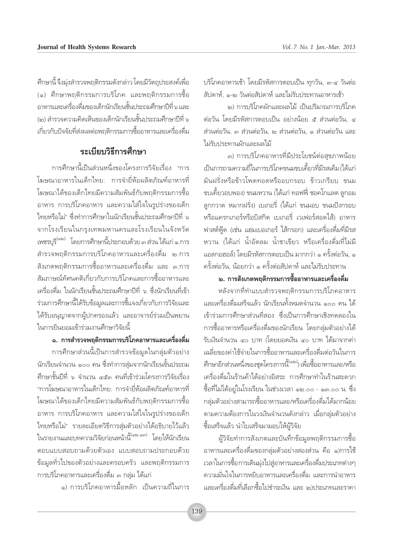ู้ บริโภคอาหารเช้า โดยมีรหัสการตอบเป็น ทกวัน, ๓-๔ วันต่อ ลัปดาห์, ๑-๒ วันต่อสัปดาห์ และไม่รับประทานอาหารเช้า

๒) การบริโภคผักและผลไม้ เป็นปริมาณการบริโภค ต่อวัน โดยมีรหัสการตอบเป็น อย่างน้อย ๕ ส่วนต่อวัน. ๔ ส่วนต่อวัน, ๓ ส่วนต่อวัน, ๒ ส่วนต่อวัน, ๑ ส่วนต่อวัน และ ู้ไม่รับประทานผักและผลไม**้** 

๓) การบริโภคอาหารที่มีประโยชน์ต่อสขภาพน้อย ้เป็นการถามความถี่ในการบริโภคขนมขบเคี้ยวที่มีรสเค็ม (ได้แก่ ้มันฝรั่งหรือข้าวโพดทอดหรืออบกรอบ ข้าวเกรียบ ขนม ขบเคี้ยวอบพอง) ขนมหวาน (ได้แก่ ทอฟฟี่ ชอคโกแลต ลูกอม ิลกกวาด หมากฝรั่ง) เบเกอรี่ (ได้แก่ ขนมอบ ขนมปังกรอบ ้หรือแครกเกอร์หรือบิสกิต เบเกอรี่ เวเฟอร์สอดไส้) อาหาร ู ฟาสต์ฟ้ด (เช่น แฮมเบอเกอร์ ไส้กรอก) และเครื่องดื่มที่มีรส หวาน (ได้แก่ น้ำอัดลม น้ำชาเขียว หรือเครื่องดื่มที่ไม่มี เเอลกอฮอล์) โดยมีรหัสการตอบเป็น มากกว่า ๑ ครั้งต่อวัน. ๑ ดรั้งต่อวัน, น้อยกว่า ๑ ครั้งต่อสัปดาห์ และไม่รับประทาน

## ิ ๒. การสังเกตพฤติกรรมการซื้ออาหารและเครื่องดื่ม

ทลังจากที่ทำแบบสำรวจพฤติกรรมการบริโภคอาหาร ้<br>และเครื่องดื่มเสร็จแล้ว นักเรียนทั้งหมดจำนวน ๑๐๐ คน ได้ ู้เข้าร่วมการศึกษาส่วนที่สอง ซึ่งเป็นการศึกษาเชิงทดลองใน การซื้ออาหารหรือเครื่องดื่มของนักเรียน โดยกล่มตัวอย่างได้ ้รับเงินจำนวน ๔๐ บาท (โดยยอดเงิน ๔๐ บาท ได้มาจากค่า ู้เฉลี่ยของค่าใช้จ่ายในการซื้ออาหารและเครื่องดื่มต่อวันในการ คึกษาอีกส่วนหนึ่งของชุดโครงการนี้<sup>(๑๒)</sup>) เพื่อซื้ออาหารและ/หรือ เครื่องดื่มในร้านค้าได้อย่างอิสระ การศึกษาทำในร้านสะดวก ์ซื้อที่ไม่ได้อยู่ในโรงเรียน ในช่วงเวลา ๑๒.๐๐ - ๑๓.๐๐ น. ซึ่ง ำลุ่มตัวอย่างสามารถซื้ออาหารและ/หรือเครื่องดื่มได้มากน้อย ์ ตามความต้องการในวงเงินจำนวนดังกล่าว เมื่อกลุ่มตัวอย่าง ์ซื้อเสร็จแล้ว นำใบเสร็จมามอบให้ผู้วิจัย

ู<br>ผู้วิจัยทำการสังเกตและบันทึกข้อมูลพฤติกรรมการซื้อ ือาหารและเครื่องดื่มของกลุ่มตัวอย่างสองส่วน คือ ๑)การใช้ เวลาในการซื้อการเดินมุ่งไปสู่อาหารและเครื่องดื่มประเภทต่างๆ ้<br>ความมั่นใจในการหยิบอาหารและเครื่องดื่ม และการนำอาหาร เเละเครื่องดื่มที่เลือกซื้อไปชำระเงิน และ ๒)ประเภทและราคา

ู้ศึกษานี้ จึงมุ่งสำรวจพฤติกรรมดังกล่าว โดยมีวัตถุประสงค์เพื่อ (๑) ศึกษาพฤติกรรมการบริโภค และพฤติกรรมการซื้อ ือาหารและเครื่องดื่มของเด็กนักเรียนชั้นประถมศึกษาปีที่ ๖ และ (๒) สำรวจความคิดเห็นของเด็กนักเรียนชั้นประถมศึกษาปีที่ ๖ ี<br>เกี่ยวกับปัจจัยที่ส่งผลต่อพฤติกรรมการซื้ออาหารและเครื่องดื่ม

## **ระเบียบวิธีการศึก**ษา

้<br>การศึกษานี้เป็นส่วนหนึ่งของโครงการวิจัยเรื่อง "การ ์ โฆษณาอาหารในเด็กไทย: การจำยี่ห้อผลิตภัณฑ์อาหารที่ ู<br>โฆษณาได้ของเด็กไทยมีความสัมพันธ์กับพฤติกรรมการซื้อ ือาหาร การบริโภคอาหาร และความใส่ใจในรูปร่างของเด็ก  $\lambda$ ไทยหรือไม่" ซึ่งทำการศึกษาในนักเรียนชั้นประถมศึกษาปีที่ ๖ จากโรงเรียนในกรงเทพมหานครและโรงเรียนในจังหวัด เพชรบุรี<sup>(๑๒)</sup> โดยการศึกษานี้ประกอบด้วย ๓ ส่วน ได้แก่ ๑.การ ี สำรวจพฤติกรรมการบริโภคอาหารและเครื่องดื่ม ๒.การ ้สังเกตพฤติกรรมการซื้ออาหารและเครื่องดื่ม และ ๓.การ ้สัมภาษณ์ทัศนคติเกี่ยวกับการบริโภคและการซื้ออาหารและ ู้<br>เครื่องดื่ม ในนักเรียนชั้นประถมศึกษาปีที่ ๖ ซึ่งนักเรียนที่เข้า ้ร่วมการศึกษานี้ได้รับข้อมูลและการชี้แจงเกี่ยวกับการวิจัยและ ได้รับอนุญาตจากผู้ปกครองแล้ว และอาจารย์ร่วมเป็นพยาน ในการยินยอมเข้าร่วมงานศึกษาวิจัยนี้

**Ò. °"√ "√«®æƒμ'°√√¡°"√∫√''¿§Õ"À"√·≈–‡§√◊ËÕߥ◊Ë¡** ำการศึกษาส่วนนี้เป็นการสำรวจข้อมูลในกลุ่มตัวอย่าง ู้นักเรียนจำนวน ๑๐๐ คน ซึ่งทำการส่มจากนักเรียนขั้นประถม ู้ศึกษาชั้นปีที่ ๖ จำนวน ๔๕๓ คนที่เข้าร่วมโครงการวิจัยเรื่อง "การโฆษณาอาหารในเด็กไทย: การจำยี่ห้อผลิตภัณฑ์อาหารที่ โฆษณาได้ของเด็กไทยมีความสัมพันธ์กับพฤติกรรมการซื้อ ือาหาร การบริโภคอาหาร และความใส่ใจในรูปร่างของเด็ก ู้ไทยหรือไม่" รายละเอียดวิธีการสุ่มตัวอย่างได้อธิบายไว้แล้ว ในรายงานและบทความวิจัยก่อนหน้านี้<sup>(๑๒,๑๓)</sup> โดยให้นักเรียน ์ ตอบแบบสอบถามด้วยตัวเอง แบบสอบถามประกอบด้วย ู้ข้อมูลทั่วไปของตัวอย่างและครอบครัว และพฤติกรรมการ ้ การบริโภคอาหารและเครื่องดื่ม ๓ กลุ่ม ได้แก่

๑) การบริโภคอาหารมื้อหลัก เป็นความถี่ในการ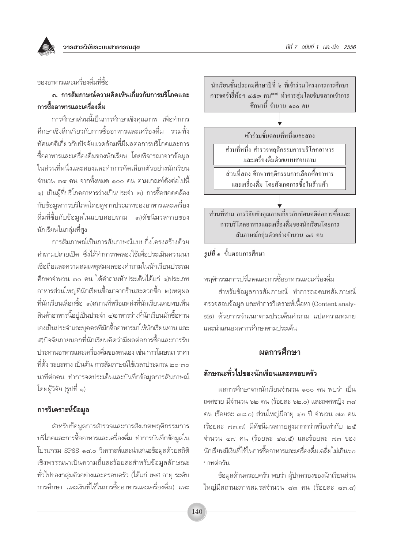วารสารวิจัยระบบสาธารณสุข

### ของอาหารและเครื่องดื่มที่สื่อ

## ึถ. การสัมภาษณ์ความคิดเห็นเกี่ยวกับการบริโภคและ การซื้ออาหารและเครื่องดื่ม

การศึกษาส่วนนี้เป็นการศึกษาเชิงคุณภาพ เพื่อทำการ ้ศึกษาเชิงลึกเกี่ยวกับการซื้ออาหารและเครื่องดื่ม รวมทั้ง ทัศนคติเกี่ยวกับปัจจัยแวดล้อมที่มีผลต่อการบริโภคและการ ์ซื้ออาหารและเครื่องดื่มของนักเรียน โดยพิจารณาจากข้อมูล ในส่วนที่หนึ่งและสองและทำการคัดเลือกตัวอย่างนักเรียน จำนวน ๓๙ คน จากทั้งหมด ๑๐๐ คน ตามเกณฑ์ดังต่อไปนี้ ๑) เป็นผู้ที่บริโภคอาหารว่างเป็นประจำ ๒) การซื้อสอดคล้อง กับข้อมูลการบริโภคโดยดูจากประเภทของอาหารและเครื่อง ดื่มที่ซื้อกับข้อมูลในแบบสอบถาม ๓)ดัชนีมวลกายของ นักเรียนในกลุ่มที่สูง

การสัมภาษณ์เป็นการสัมภาษณ์แบบกึ่งโครงสร้างด้วย ้คำถามปลายเปิด ซึ่งได้ทำการทดลองใช้เพื่อประเมินความน่า เชื่อถือและความสมเหตุสมผลของคำถามในนักเรียนประถม ้ศึกษาจำนวน ๓๐ คน ได้คำถามห้าประเด็นได้แก่ ๑)ประเภท อาหารส่วนใหญ่ที่นักเรียนซื้อมาจากร้านสะดวกซื้อ ๒)เหตุผล ที่นักเรียนเลือกซื้อ ๓)สถานที่หรือแหล่งที่นักเรียนเคยพบเห็น สินค้าอาหารนี้อยู่เป็นประจำ ๔)อาหารว่างที่นักเรียนมักซื้อทาน เองเป็นประจำและบุคคลที่มักซื้ออาหารมาให้นักเรียนทาน และ ๕)ปัจจัยภายนอกที่นักเรียนคิดว่ามีผลต่อการซื้อและการรับ ประทานอาหารและเครื่องดื่มของตนเอง เช่น การโฆษณา ราคา ู้ที่ตั้ง ระยะทาง เป็นต้น การสัมภาษณ์ใช้เวลาประมาณ ๒๐-๓๐ นาที่ต่อคน ทำการจดประเด็นและบันทึกข้อมูลการสัมภาษณ์ โดยผู้วิจัย (รูปที่ ๑)

#### การวิเคราะห์ข้อมูล

สำหรับข้อมูลการสำรวจและการสังเกตพฤติกรรมการ บริโภคและการซื้ออาหารและเครื่องดื่ม ทำการบันทึกข้อมูลใน โปรแกรม SPSS ๑๘.๐ วิเคราะห์และนำเสนอข้อมูลด้วยสถิติ เชิงพรรณนาเป็นความถี่และร้อยละสำหรับข้อมูลลักษณะ ้ทั่วไปของกลุ่มตัวอย่างและครอบครัว (ได้แก่ เพศ อายุ ระดับ การศึกษา และเงินที่ใช้ในการซื้ออาหารและเครื่องดื่ม) และ



## $\tilde{\mathfrak{s}}$ ปที่ ๑ ขั้นตอนการศึกษา

พฤติกรรมการบริโภคและการซื้ออาหารและเครื่องดื่ม

สำหรับข้อมูลการสัมภาษณ์ ทำการถอดบทสัมภาษณ์ ้ตรวจสอบข้อมูล และทำการวิเคราะห์เนื้อหา (Content analysis) ด้วยการจำแนกตามประเด็นคำถาม แปลความหมาย และนำเสนอผลการศึกษาตามประเด็น

## ผลการศึกษา

### ลักษณะทั่วไปของนักเรียนและครอบครัว

ผลการศึกษาจากนักเรียนจำนวน ๑๐๐ คน พบว่า เป็น เพศชาย มีจำนวน ๖๒ คน (ร้อยละ ๖๒.๐) และเพศหญิง ๓๘ คน (ร้อยละ ๓๘.๐) ส่วนใหญ่มีอายุ ๑๒ ปี จำนวน ๗๓ คน (ร้อยละ ๗๓.๗) มีดัชนีมวลกายสูงมากกว่าหรือเท่ากับ ๒๕ จำนวน ๔๗ คน (ร้อยละ ๔๘.๕) และร้อยละ ๗๓ ของ นักเรียนมีเงินที่ใช้ในการซื้ออาหารและเครื่องดื่มเฉลี่ยไม่เกิน๖๐ บาทต่อวัน

ข้อมูลด้านครอบครัว พบว่า ผู้ปกครองของนักเรียนส่วน ใหญ่มีสถานะภาพสมรสจำนวน ๘๓ คน (ร้อยละ ๘๓.๘)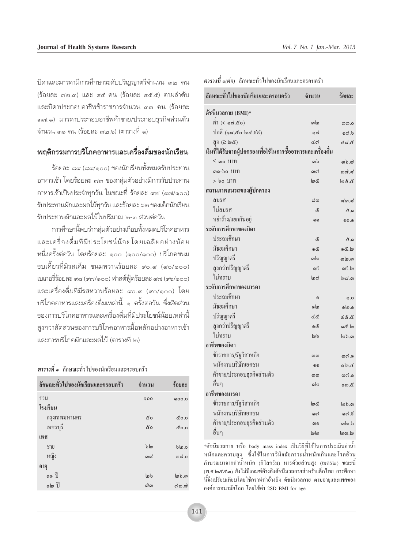ู้บิดาและมารดามีการศึกษาระดับปริญญาตรีจำนวน ๓๒ คน (ร้อยละ ๓๒.๓) และ ๔๕ คน (ร้อยละ ๔๕.๕) ตามลำดับ และบิดาประกอบอาชีพข้าราชการจำนวน ๓๓ คน (ร้อยละ ๓๗.๑) มารดาประกอบอาชีพค้าขาย/ประกอบธุรกิจส่วนตัว ู้จำนวน ๓๑ คน (ร้อยละ ๓๒.๖) (ตารางที่ ๑)

## **æƒμ'°√√¡°"√∫√''¿§Õ"À"√·≈–‡§√◊ËÕߥ◊Ë¡¢Õßπ—°‡√'¬π**

\_\_<br>วัคยละ ๘๙ (๘๙/๑๐๐) ของนักเรียนทั้งหมดรับประทาน ือาหารเช้า โดยร้อยละ ๗๓ ของกลุ่มตัวอย่างมีการรับประทาน ือาหารเช้าเป็นประจำทุกวัน ในขณะที่ ร้อยละ *๙*๗ (๙๗/๑๐๐)  $\tilde{\tau}$ บประทานผักและผลไม้ทกวัน และร้อยละ ๖๒ ของเด็กนักเรียน ้รับประทานผักและผลไม้ในปริมาณ ๒-๓ ส่วนต่อวัน

ำการศึกษานี้พบว่ากล่มตัวอย่างเกือบทั้งหมดบริโภคอาหาร และเครื่องดื่มที่มีประโยชน์น้อยโดยเฉลี่ยอย่างน้อย หนึ่งครั้งต่อวัน โดยร้อยละ ๑๐๐ (๑๐๐/๑๐๐) บริโภคขนม ์ ขบเคี้ยวที่มีรสเค็ม ขนมหวานร้อยละ ๙๐.๙ (๙๐/๑๐๐)  $\;$ เปเกอรี่ร้อยละ ๙๘ (๙๗/๑๐๐) ฟาสต์ฟู้ดร้อยละ ๙๗ (๙๖/๑๐๐) เเละเครื่องดื่มที่มีรสหวานร้อยละ «o.« («o/๑oo) โดย ู้ บริโภคอาหารและเครื่องดื่มเหล่านี้ ๑ ครั้งต่อวัน ซึ่งสัดส่วน ูฑองการบริโภคอาหารและเครื่องดื่มที่มีประโยชน์น้อยเหล่านี้ สงกว่าสัดส่วนของการบริโภคอาหารมื้อหลักอย่างอาหารเช้า ้<br>และการบริโภคผักและผลไม้ (ตารางที่ ๒)

#### ื **ตารางที่ ๑** ลักษณะทั่วไปของนักเรียนและครอบครัว

| ลักษณะทั่วไปของนักเรียนและครอบครัว | จำนวน          | ร้อยละ       |
|------------------------------------|----------------|--------------|
| รวม                                | 000            | 0.00.0       |
| โรงเรียน                           |                |              |
| กรุงเทพมหานคร                      | ๕๐             | ៥೦.೦         |
| เพชรบุรี                           | ๕๐             | ៥೦.೦         |
| เพศ                                |                |              |
| ชาย                                | $b\omega$      | blo.o        |
| หญิง                               | ഩ๘             | ന്ദ $\sim$   |
| อายุ                               |                |              |
| $\circ$ $\circ$ $\exists$          | $\omega$       | $\omega$ b.m |
| ด๒ ปี                              | <u>ຕ္</u> ) ရာ | லி .ெலி      |

| ลักษณะทั่วไปของนักเรียนและครอบครัว                            | จำนวน       | ร้อยละ        |
|---------------------------------------------------------------|-------------|---------------|
| ดัชนีมวลกาย (BMI)*                                            |             |               |
| ต่ำ (< ๑๘.๕๐)                                                 | வங          | னை.0          |
| ปกติ (๑๘.๕๐-๒๔.ธธ)                                            | ೧ದ          | 6.50          |
| สูง (≥ ๒๕)                                                    | යබ          | & <i>ನ.ಜಿ</i> |
| เงินที่ได้รับจากผู้ปกครองเพื่อใช้ในการซื้ออาหารและเครื่องดื่ม |             |               |
| $\leq$ ๑๐ บาท                                                 | <u>ດາ ໄ</u> | ගා යා         |
| <i>ດ</i> ໑-៦໐ 1J111                                           | ගඟු         | തന്.പ്ല       |
| > ๖๐ บาท                                                      | තම          | <b>8.8</b>    |
| สถานภาพสมรสของผู้ปกครอง                                       |             |               |
| สมรส                                                          | ສິຫ         | ದ ೧.ದ         |
| ไม่สมรส                                                       | ๕           | දී.ඉ          |
| หย่าร้าง/แยกกันอยู่                                           | ை           | @@.@          |
| ระดับการศึกษาของบิดา                                          |             |               |
| ประถมศึกษา                                                    | ๕           | දී.ඉ          |
| มัธยมศึกษา                                                    | යේ          | ේ.ම           |
| ปริญญาตรี                                                     | வங          | விடைவ         |
| สูงกว่าปริญญาตรี                                              | දෙ          | ெ.ெ           |
| ไม่ทราบ                                                       | $\log$      | $\log$ .      |
| ระดับการศึกษาของมารดา                                         |             |               |
| ประถมศึกษา                                                    | $\odot$     | Q.Q           |
| มัธยมศึกษา                                                    | ெ           | மெ.வ          |
| ปริญญาตรี                                                     | ৫៥          | 8.85          |
| สูงกว่าปริญญาตรี                                              | යේ          | ේ.වි          |
| ไม่ทราบ                                                       | စြာ         | $\omega$ b.o  |
| อาชีพของบิดา                                                  |             |               |
| ข้าราชการ/รัฐวิสาหกิจ                                         | തൈ          | നെ            |
| พนักงานบริษัทเอกชน                                            | $\odot$     | ی.هاه         |
| ค้าขาย/ประกอบธุรกิจส่วนตัว                                    | ഩഩ          | നറി. ,        |
| อื่นๆ                                                         | ெ           | ගො.๕          |
| อาชีพของมารดา                                                 |             |               |
| ข้าราชการ/รัฐวิสาหกิจ                                         | තම          | ๒๖.๓          |
| พนักงานบริษัทเอกชน                                            | ගෝ          | കെട്          |
| ค้าขาย/ประกอบธุรกิจส่วนตัว                                    | ை           | விட்          |
| อื่นๆ                                                         | ပြုပြ       | lග lග         |

 $^*$ ดัชนีมวลกาย หรือ body mass index เป็นวิธีที่ใช้ในการประเมินค่าน้ำ หนักและความสูง ซึ่งใช้ในการวินิจฉัยภาวะน้ำหนักเกินและโรคอ้วน ้คำนวณมาจากค่าน้ำหนัก (กิโลกรัม) หารค้วยส่วนสูง (เมตร๒) ขณะนี้ (พ.ศ.๒๕๕๑) ยังไม่มีเกณฑ์อ้างอิงคัชนีมวลกายสำหรับเด็กไทย การศึกษา นี้จึงเปรียบเทียบโดยใช้กราฟค่าอ้างอิง ดัชนีมวลกาย ตามอายุและเพศของ องค์การอนามัยโลก โดยใช้ค่า 2SD BMI for age

#### ้ <mark>ตารางที่ ๑</mark>(ต่อ) ลักษณะทั่วไปของนักเรียนและครอบครัว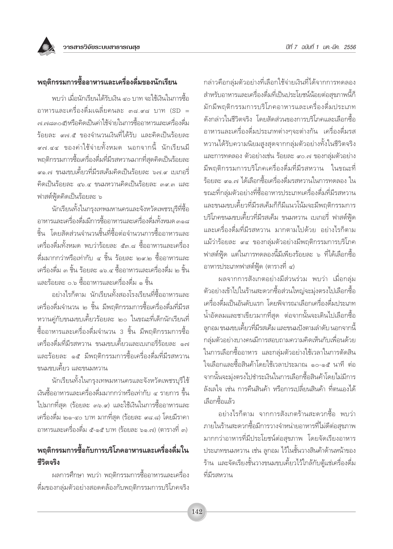

พบว่า เมื่อนักเรียนได้รับเงิน ๔๐ บาท จะใช้เงินในการซื้อ ิ<br>อาหารและเครื่องดื่มเฉลี่ยคนละ ๓๘.๙๘ บาท (SD = .<br>๓ ๓ ๘๓๐๕)หรือคิดเป็นค่าใช้จ่ายในการซื้ออาหารและเครื่องดื่ม ร้อยละ ๙๗.๕ ของจำนวนเงินที่ได้รับ และคิดเป็นร้อยละ ี่<br>๙๗.๔๔ ของค่าใช้จ่ายทั้งหมด นอกจากนี้ นักเรียนมี พฤติกรรมการซื้อเครื่องดื่มที่มีรสหวานมากที่สุดคิดเป็นร้อยละ ้<br>สุด.๗ ขนมขบเคี้ยวที่มีรสเค็มคิดเป็นร้อยละ ๖๗.๙ เบเกอรี่ คิดเป็นร้อยละ ๔๖.๔ ขนมหวานคิดเป็นร้อยละ ๓๙.๓ และ ฟาสต์ฟู้ดคิดเป็นร้อยละ ๖

นักเรียนทั้งในกรุงเทพมหานครและจังหวัดเพชรบุรีที่ซื้อ อาหารและเครื่องดื่มมีการซื้ออาหารและเครื่องดื่มทั้งหมด ๓๑๘ ์ชิ้น โดยสัดส่วนจำนวนชิ้นที่ซื้อต่อจำนวนการซื้ออาหารและ เครื่องดื่มทั้งหมด พบว่าร้อยละ ๕๓.๘ ซื้ออาหารและเครื่อง ดื่มมากกว่าหรือเท่ากับ ๔ ชิ้น ร้อยละ ๒๙๒ ซื้ออาหารและ เครื่องดื่ม ๓ ชิ้น ร้อยละ ๑๖.๔ ซื้ออาหารและเครื่องดื่ม ๒ ชิ้น และร้อยละ ๐.๖ ซื้ออาหารและเครื่องดื่ม ๑ ชิ้น

้อย่างไรก็ตาม นักเรียนทั้งสองโรงเรียนที่ซื้ออาหารและ เครื่องดื่มจำนวน ๒ ชิ้น มีพฤติกรรมการซื้อเครื่องดื่มที่มีรส หวานคู่กับขนมขบเคี้ยวร้อยละ ๒๐ ในขณะที่เด็กนักเรียนที่ ์ชื้ออาหารและเครื่องดื่มจำนวน 3 ชิ้น มีพถติกรรมการซื้อ เครื่องดื่มที่มีรสหวาน ขนมขบเคี้ยวและเบเกอรี่ร้อยละ ๑๗ และร้อยละ ๑๕ มีพฤติกรรมการซื้อเครื่องดื่มที่มีรสหวาน ขนมขบเคี้ยว และขนมหวาน

นักเรียนทั้งในกรุงเทพมหานครและจังหวัดเพชรบุรีใช้ เงินซื้ออาหารและเครื่องดื่มมากกว่าหรือเท่ากับ ๔ รายการ ขึ้น ไปมากที่สุด (ร้อยละ ๓๖.๙) และใช้เงินในการซื้ออาหารและ เครื่องดื่ม ๒๑-๔๐ บาท มากที่สุด (ร้อยละ ๙๘.๘) โดยมีราคา ้อาหารและเครื่องดื่ม ๕-๑๕ บาท (ร้อยละ ๖๑.๗) (ตารางที่ ๓)

# พฤติกรรมการซื้อกับการบริโภคอาหารและเครื่องดื่มใน ชีวิตจริง

้ผลการศึกษา พบว่า พฤติกรรมการซื้ออาหารและเครื่อง ดื่มของกลุ่มตัวอย่างสอดคล้องกับพฤติกรรมการบริโภคจริง

กล่าวคือกลุ่มตัวอย่างที่เลือกใช้จ่ายเงินที่ได้จากการทดลอง สำหรับอาหารและเครื่องดื่มที่เป็นประโยชน์น้อยต่อสุขภาพนี้ก็ มักมีพฤติกรรมการบริโภคอาหารและเครื่องดื่มประเภท ดังกล่าวในชีวิตจริง โดยสัดส่วนของการบริโภคและเลือกซื้อ อาหารและเครื่องดื่มประเภทต่างๆจะต่างกัน เครื่องดื่มรส หวานได้รับความนิยมสูงสุดจากกลุ่มตัวอย่างทั้งในชีวิตจริง และการทดลอง ตัวอย่างเช่น ร้อยละ ๙๐.๗ ของกล่มตัวอย่าง มีพถติกรรมการบริโภคเครื่องดื่มที่มีรสหวาน ในขณะที่ ้ร้อยละ ๙๑.๗ ได้เลือกซื้อเครื่องดื่มรสหวานในการทดลอง ใน ขณะที่กลุ่มตัวอย่างที่ซื้ออาหารประเภทเครื่องดื่มที่มีรสหวาน และขนมขบเคี้ยวที่มีรสเค็มก็ก็มีแนวโน้มจะมีพฤติกรรมการ บริโภคขนมขบเคี้ยวที่มีรสเค็ม ขนมหวาน เบเกอรี่ ฟาสต์ฟู้ด และเครื่องดื่มที่มีรสหวาน มากตามไปด้วย อย่างไรก็ตาม แม้ว่าร้อยละ ๙๔ ของกลุ่มตัวอย่างมีพฤติกรรมการบริโภค ฟาสต์ฟู้ด แต่ในการทดลองนี้มีเพียงร้อยละ ๖ ที่ได้เลือกซื้อ อาหารประเภทฟาสต์ฟู้ด (ตารางที่ ๔)

้ผลจากการสังเกตอย่างมีส่วนร่วม พบว่า เมื่อกลุ่ม ตัวอย่างเข้าไปในร้านสะดวกซื้อส่วนใหญ่จะม่งตรงไปเลือกซื้อ เครื่องดื่มเป็นอันดับแรก โดยพิจารณาเลือกเครื่องดื่มประเภท ้น้ำอัดลมและชาเขียวมากที่สุด ต่อจากนั้นจะเดินไปเลือกซื้อ ลูกอม ขนมขบเคี้ยวที่มีรสเค็ม และขนมปังตามลำดับ นอกจากนี้ กลุ่มตัวอย่างบางคนมีการสอบถามความคิดเห็นกับเพื่อนด้วย ในการเลือกซื้ออาหาร และกลุ่มตัวอย่างใช้เวลาในการตัดสิน ใจเลือกและซื้อสินค้าโดยใช้เวลาประมาณ ๑๐-๑๕ นาที ต่อ จากนั้นจะมุ่งตรงไปชำระเงินในการเลือกซื้อสินค้าโดยไม่มีการ ลังเลใจ เช่น การคืนสินค้า หรือการเปลี่ยนสินค้า ที่ตนเองได้ เลือกซื้อแล้ว

้อย่างไรก็ตาม จากการสังเกตร้านสะดวกซื้อ พบว่า ่ ภายในร้านสะดวกซื้อมีการวางจำหน่ายอาหารที่ไม่ดีต่อสุขภาพ มากกว่าอาหารที่มีประโยชน์ต่อสุขภาพ โดยจัดเรียงอาหาร ประเภทขนมหวาน เช่น ลูกอม ไว้ในชั้นวางสินค้าด้านหน้าของ ้ร้าน และจัดเรียงชั้นวางขนมขบเคี้ยวไว้ใกล้กับตู้แช่เครื่องดื่ม ที่มีรสหวาน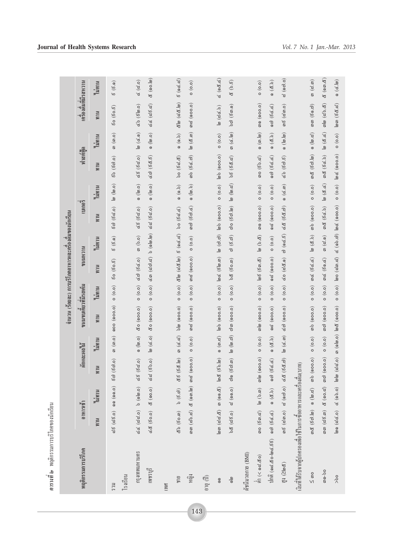| ្ត<br>កូតូ      | 010000000<br>Ğ   |
|-----------------|------------------|
|                 | G<br>י<br>ב      |
| พกติกรรบการบริเ |                  |
| G               | ತಿ<br>រូ<br>ตารา |

|                                                                                                                                                                                                                                                                                                                                                                                                                                                               |                                                                                                                                        |                                          |                                        |                                                            |                            |        | จำนวน (ร้อยละ) การบริโภคอาหารและคร้องดิ้มของนักเรียน              |                                                 |                                 |                                               |                                                          |                                              |                      |                                        |
|---------------------------------------------------------------------------------------------------------------------------------------------------------------------------------------------------------------------------------------------------------------------------------------------------------------------------------------------------------------------------------------------------------------------------------------------------------------|----------------------------------------------------------------------------------------------------------------------------------------|------------------------------------------|----------------------------------------|------------------------------------------------------------|----------------------------|--------|-------------------------------------------------------------------|-------------------------------------------------|---------------------------------|-----------------------------------------------|----------------------------------------------------------|----------------------------------------------|----------------------|----------------------------------------|
| พฤติกรรมการบริโภค                                                                                                                                                                                                                                                                                                                                                                                                                                             | 6111319                                                                                                                                |                                          |                                        | หักและผลไม้                                                | ขนมขบเคียวที่มีรสเค็ม      |        | RLCHRRID                                                          |                                                 | เบเกอร์                         |                                               | ฟาสต์ฟู้ด                                                |                                              | ้ ครองดิมที่มีรสหวาน |                                        |
|                                                                                                                                                                                                                                                                                                                                                                                                                                                               | พาน                                                                                                                                    | ไม่ทาน                                   | MUR                                    | ไม่ทาน                                                     | M <sub>W</sub>             | ไม่ทาน | พาน                                                               | ไม่ทาน                                          | พาน                             | ไม่ทาน                                        | พาน                                                      | ไม่ทาน                                       | พาน                  | ไม่ทาน                                 |
| <b>ICCS</b>                                                                                                                                                                                                                                                                                                                                                                                                                                                   |                                                                                                                                        |                                          | ය් ද (ය් දි.o) ඉෙ (ඉෙ.o) දිෆු (දිෆු.o) | $\omega(\omega)$                                           | 000 (000.0)                | (0.0)  | 50(50.5)                                                          | $\acute{\rm g}$ $(\acute{\rm g}. \mathfrak{g})$ | 50 (55)                         | $\omega(\omega.o)$                            | 60 (60.0)                                                | $\omega(\omega o)$                           | 50(50.5)             | $(\mathcal{E}._{\mathbf{0}})$<br>ນວ    |
| โรงเรียน                                                                                                                                                                                                                                                                                                                                                                                                                                                      |                                                                                                                                        |                                          |                                        |                                                            |                            |        |                                                                   |                                                 |                                 |                                               |                                                          |                                              |                      |                                        |
| กรุงเทพมหานคร                                                                                                                                                                                                                                                                                                                                                                                                                                                 |                                                                                                                                        |                                          | GG((25) b (alm.o) d (52) d (62.0)      | $\circ$ (lg.o)                                             | co (000.0)                 | (0.0)  | $(\mathcal{C} \mathcal{A})$ ( $\mathcal{C} \mathcal{A} \cdot o$ ) | $\omega$ (b.o)                                  | 66 (52.0)                       | $\circ$ (lg.o)                                | 68 (820)                                                 | $\boxed{\omega} \; \big( \text{c.0} \big)$   | (566)                | <b>&amp; (2.0)</b>                     |
| เพชรบุรี                                                                                                                                                                                                                                                                                                                                                                                                                                                      |                                                                                                                                        |                                          | (d (50.0) & (00.0) dd (50.0)           | <b>a</b> (c.o)                                             | <b>&amp;o</b> (ඉoo.o)      | (0.0)  | $\zeta(\omega)$ ( $\zeta(\omega)$                                 | $\circ$ (alg.d)                                 | 62 (62.0)                       | (0.60)                                        | $\leqslant$ c) $(\leqslant \stackrel{d}{\ll} \leqslant)$ | $\circ$ (lg.o)                               | $d d$ $(d5d)$        | <u>ද</u> ි (ඉo.්@)                     |
| <b>INA</b>                                                                                                                                                                                                                                                                                                                                                                                                                                                    |                                                                                                                                        |                                          |                                        |                                                            |                            |        |                                                                   |                                                 |                                 |                                               |                                                          |                                              |                      |                                        |
| 90%                                                                                                                                                                                                                                                                                                                                                                                                                                                           | $\mathcal{L}(\mathcal{S}^{\mathcal{S}})$ ( $\mathcal{S}^{\mathcal{S}}$ ( $\mathcal{S}^{\mathcal{S}}$ ) ( $\mathcal{S}^{\mathcal{S}}$ ) |                                          | &6 (6&.lø)                             | $m(\alpha, \alpha)$                                        | $b \omega$ (900.0)         | (0.0)  | $\alpha$ lo $(\alpha$ $\alpha$ .lo)                               | 6(0060)                                         | 50 (62.6)                       | (6.6)                                         | 50(62.8)                                                 | (6.6)                                        | ๕๒ (๘๕.๒)            | 6(06.5)                                |
| ทญิง                                                                                                                                                                                                                                                                                                                                                                                                                                                          |                                                                                                                                        |                                          | $\widehat{\mathsf{o}}$                 | (0.0)                                                      | യു (000.0)                 |        | $(0.006)$ and $(0.00)$                                            | (0.0)                                           | <i>ශා</i> (50.6)                | (6.0)                                         | თხ (5 ៤. თ)                                              | $\omega(\mathcal{E},\omega)$                 | ത് (000.0)           | (0.0)                                  |
| $\begin{pmatrix} 1 & 0 \\ 0 & 1 \end{pmatrix}$                                                                                                                                                                                                                                                                                                                                                                                                                |                                                                                                                                        |                                          |                                        |                                                            |                            |        |                                                                   |                                                 |                                 |                                               |                                                          |                                              |                      |                                        |
| $\circ$                                                                                                                                                                                                                                                                                                                                                                                                                                                       |                                                                                                                                        |                                          | හො (යය. අ) ග ( ෙ. අ)  හෙද (5. හ. (හ)   | $\binom{6}{6}$                                             | (၈) (၈၀၀.၀)                | (0.0)  | $\omega \ll (\epsilon \omega . \omega)$                           |                                                 | (၈) (၇) (၈) (၈)                 | (0.0)                                         | (၈) (၈၀၀.၀)                                              | (0.0)                                        | $\omega$ (d(.b)      | $\vec{\alpha}$ (a&. $\vec{\alpha}$ )   |
| $\frac{1}{10}$                                                                                                                                                                                                                                                                                                                                                                                                                                                | $bd$ (dg.o)                                                                                                                            | C(0.00)                                  | റി (6റി. <i>ണ</i> )                    | $\left[\infty\right]$ $\left(\left[\infty,c\right)\right)$ | $\omega$ $\omega$ (0.00.0) | (0.0)  | 68 (60.00)                                                        | $\omega$ $(5.\omega)$                           | <b>ကဲ</b> ဝ (6ေ) (၈)            | $\omega(\omega,\vec{\omega})$                 | 56(62)                                                   | $m(\alpha, \lg)$                             | <b>b</b> c) (600.0)  | 8(5.5)                                 |
| คัชนีมวลกาย (BMI)                                                                                                                                                                                                                                                                                                                                                                                                                                             |                                                                                                                                        |                                          |                                        |                                                            |                            |        |                                                                   |                                                 |                                 |                                               |                                                          |                                              |                      |                                        |
| $\int\limits_{\mathbb{R}} \int\limits_{0}^{s} \left( 1 + \frac{1}{\alpha} \mathcal{L} \mathcal{L} \mathcal{L} \mathcal{L} \mathcal{L} \mathcal{L} \mathcal{L} \mathcal{L} \mathcal{L} \mathcal{L} \mathcal{L} \mathcal{L} \mathcal{L} \mathcal{L} \mathcal{L} \mathcal{L} \mathcal{L} \mathcal{L} \mathcal{L} \mathcal{L} \mathcal{L} \mathcal{L} \mathcal{L} \mathcal{L} \mathcal{L} \mathcal{L} \mathcal{L} \mathcal{L} \mathcal{L} \mathcal{L} \mathcal{L$ |                                                                                                                                        | 00 (6 ) (සියා.දේ) (හ. රේ) හා (වි. ශා) (ම | $\widehat{\circ}$                      | (0.0)                                                      | നി (റെറ.)                  | (0.0)  | $\log(5 \text{m} \cdot \text{d})$                                 | $\omega$ (b. $\alpha$ )                         | <b>m</b> <sup>(0)</sup> (000.0) | (0.0)                                         | <b>mo</b> (52.0)                                         | $\circ$ $(\infty, \infty)$                   | <b>m</b> ® (റെറ.ഠ)   | (0.0)                                  |
| $100$ ମି (ଉଟ.ଝo-๒๔.୪େ)                                                                                                                                                                                                                                                                                                                                                                                                                                        | $(5d.d)$                                                                                                                               |                                          | $(8, b) 000 (6d.d)$                    | $Q_{(2,5)}$                                                | 0.000) po                  | (0.0)  | 02 (000.0)                                                        | (0.0)                                           | 000009                          | (0.0)                                         | <b>92)</b> (56.6)                                        | (6.5)                                        | 90) (5d.d)           | (6.5)                                  |
| $\mathbb{Q}^1 \;(\geq \! \ln \mathcal{E})$                                                                                                                                                                                                                                                                                                                                                                                                                    |                                                                                                                                        |                                          | m6 (dm.o) d (om.o) d& (5&c)            | $\omega(\alpha,\omega)$                                    | $\leq$ c) (900.0)          | (0.0)  | 60 (28.0)                                                         | $\omega$ ( $\infty$ .5)                         | E& (5&c)                        | (6.0)                                         | $(5 \omega.5)$                                           | $\circ$ $(\omega, \omega)$                   | $m_{5}$ (c, c, o)    | $\approx$ $(\circ \varpi \cdot \circ)$ |
| เงินที่ใค้รับจากผู้ปกครองเพื่อใช้ในการซื้ออาหารและเครื่องคืน(บาท)                                                                                                                                                                                                                                                                                                                                                                                             |                                                                                                                                        |                                          |                                        |                                                            |                            |        |                                                                   |                                                 |                                 |                                               |                                                          |                                              |                      |                                        |
| $\leq$ നo                                                                                                                                                                                                                                                                                                                                                                                                                                                     |                                                                                                                                        | m & (5c). (ක. (ක. ශ) (ක. ශ) (ගෙ          | $\widehat{\circ}$                      | (0.0)                                                      | ၈) (၈၀၀.၀)                 | (0.0)  | $m$ $d$ ( $d$ $d$ , $d$ )                                         | $\omega$ $(2, 5)$                               | ၈)<br>(0,000)                   | (0.0)                                         | <i>ගඳ</i> (5 <i>c</i> ).[ø)                              | (5.6)                                        | <i>mm</i> (50.0)     | $\omega(\mathfrak{S},\omega)$          |
| $0.9 - 90$                                                                                                                                                                                                                                                                                                                                                                                                                                                    |                                                                                                                                        | <i>e (යි වි. ග)</i> අ (ඉ ) ය) ගා (ඉ ) ල  | $\overline{\mathsf{c}}$                | (0.0)                                                      | നെ (റെ.ഠ)                  | (0.0)  | $m \notin (5 \circ d)$                                            | $m(\vec{\omega}.0)$                             | <b>m&amp;</b> (5d.b)            | $\boxed{\omega \ (\mathcal{E}, \mathcal{L})}$ | m& (5d.b)                                                | $\boxed{\omega \ (\mathcal{E}.\mathcal{L})}$ | <b>mlg</b> (ස්.ප. අ) | $\alpha$ $(\alpha n. \alpha)$          |
| $>\delta$                                                                                                                                                                                                                                                                                                                                                                                                                                                     |                                                                                                                                        | (ය) ලේ( 0) ර ( 0) ල ( 0) ලක              | $\overline{\mathsf{c}}$                |                                                            |                            | (0.0)  | $\left[\infty$ (200.2)                                            |                                                 |                                 | (0.0)                                         | 600000                                                   | (0.0)                                        | [හො (5 & , ෆ්)       | 6 (c.lo)                               |

143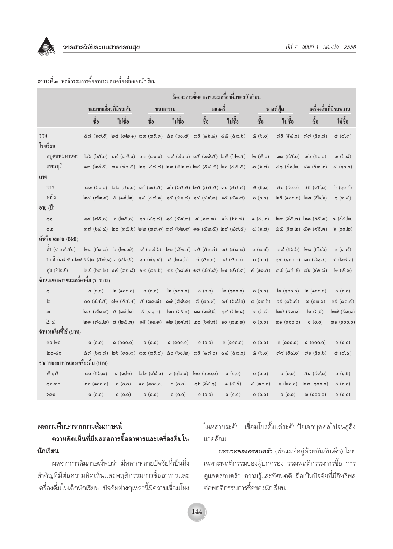

#### ี **ตารางที่ ๓** พฤติกรรมการซื้ออาหารและเครื่องดื่มของนักเรียน

|                                                | ร้อยละการซื้ออาหารและเครื่องดื่มของนักเรียน                                    |                                    |                                                                                          |                           |                                                      |                           |                             |                                                            |                                                                                                                                                                                                                                                                                                                                                                                                                            |                                            |
|------------------------------------------------|--------------------------------------------------------------------------------|------------------------------------|------------------------------------------------------------------------------------------|---------------------------|------------------------------------------------------|---------------------------|-----------------------------|------------------------------------------------------------|----------------------------------------------------------------------------------------------------------------------------------------------------------------------------------------------------------------------------------------------------------------------------------------------------------------------------------------------------------------------------------------------------------------------------|--------------------------------------------|
|                                                |                                                                                | ขนมขบเคี้ยวที่มีรสเค็ม             |                                                                                          | ขนมหวาน                   | เบเกอริ่                                             |                           |                             | ฟาสต์ฟู้ด                                                  |                                                                                                                                                                                                                                                                                                                                                                                                                            | เครื่องดื่มที่มีรสหวาน                     |
|                                                | ซื้อ                                                                           | ไม่ซื้อ                            | ซื้อ                                                                                     | ไม่ซื้อ                   | ซื้อ                                                 | ไม่ซื้อ                   | $\mathring{\mathfrak{g}}_0$ | ไม่ซื้อ                                                    | ซื้อ                                                                                                                                                                                                                                                                                                                                                                                                                       | ไม่ซื้อ                                    |
| รวม                                            |                                                                                |                                    | ๕๗ (๖๗.๕) ๒๗ (๓๒.๑) ๓๓ (๓๕.๓) ๕๑ (๖๐.๗) ๓๕ (๔๖.๔) ๔๕ (๕๓.๖)                              |                           |                                                      |                           | $(0.6)$ $\delta$            |                                                            | $\mathfrak{g}(\mathfrak{g}(\mathfrak{g},\mathfrak{g}))$ $\mathfrak{g}(\mathfrak{g},\mathfrak{g})$                                                                                                                                                                                                                                                                                                                          | $\omega$ (ದೆ.೧)                            |
| โรงเรียน                                       |                                                                                |                                    |                                                                                          |                           |                                                      |                           |                             |                                                            |                                                                                                                                                                                                                                                                                                                                                                                                                            |                                            |
| กรุงเทพมหานคร                                  |                                                                                |                                    | ්ෂාර (වර්.o) ඉරැ (ගාරී.o) ඉ ෂ (ගාo.o)  ෂුස් (ගාo.o) ඉරෑ (ගඟා.ඊ)  ෂුරෑ (විෂා.ඊ)           |                           |                                                      |                           | $\omega$ (&.o)              | ៣ದ (6๕.o)                                                  | <i>)</i> (ອິວ.ວ)                                                                                                                                                                                                                                                                                                                                                                                                           | <i>)</i> (b.໔)                             |
| เพชรบุรี                                       |                                                                                |                                    | ඉග (මිෂි.ඊ)  ග (ෆ්o.ඊ)  මග (රෆි.ෆි)  මග (ඊම.ග) මිශ් (ඊර.ඊ)  මo (රජී.ඊ)                   |                           |                                                      |                           | ග (b.෬')                    |                                                            | <u>ර (රිග. ්ම) ර (රිග. ්ම)</u>                                                                                                                                                                                                                                                                                                                                                                                             | (0.00)                                     |
| เพศ                                            |                                                                                |                                    |                                                                                          |                           |                                                      |                           |                             |                                                            |                                                                                                                                                                                                                                                                                                                                                                                                                            |                                            |
| ชาย                                            |                                                                                |                                    | කක (bo.o)  මුම (රෙ.o)  වේ (කර.ඊ)  කb (bඊ.ඊ) මරී (රෑඊ.ඊ) කo (ඊර.ර)                        |                           |                                                      |                           | <u>රී</u> (රි.ඉ)            |                                                            | ๕๐ (೯೦.೦) ៤೯ (ಧ೯.೦)                                                                                                                                                                                                                                                                                                                                                                                                        | $b(\mathfrak{so},\mathcal{E})$             |
| หญิง                                           |                                                                                |                                    | මෛර (ඝ්ම.ඝ්)  අී (ඉෆි.ම)   ඉර (රෑඝ.ග)  ඉරී (අීඉ.ෆි)  ඉර (රෑඝ.ග)  ඉරී (අීඉ.ෆි)            |                           |                                                      |                           | O(0.0)                      |                                                            | $\mathfrak{g}(\mathfrak{g}(\mathfrak{g}(\mathfrak{g}(\mathfrak{g}(\mathfrak{g}(\mathfrak{g}(\mathfrak{g}(\mathfrak{g}(\mathfrak{g}(\mathfrak{g}(\mathfrak{g}(\mathfrak{g}(\mathfrak{g}(\mathfrak{g}(\mathfrak{g}(\mathfrak{g}(\mathfrak{g}(\mathfrak{g}(\mathfrak{g}(\mathfrak{g}(\mathfrak{g}(\mathfrak{g}(\mathfrak{g}(\mathfrak{g}(\mathfrak{g}(\mathfrak{g}(\mathfrak{g}(\mathfrak{g}(\mathfrak{g}(\mathfrak{g}(\math$ | ෙ $(m, c)$                                 |
| อายุ $(1)$                                     |                                                                                |                                    |                                                                                          |                           |                                                      |                           |                             |                                                            |                                                                                                                                                                                                                                                                                                                                                                                                                            |                                            |
| $\odot$ $\odot$                                | $\sigma$ െ (നി $\alpha$ .o)                                                    | $(0.8$ @ $)$ $\sigma$              |                                                                                          | $SO(6.0)$ $SC(8.0)$       | $\approx$ $(\text{m} \mathfrak{m}, \text{m})$        | (b.b.c)                   | ෙ(ය. ග)                     |                                                            | $\mathfrak{g}$ ග (රිරී.ය්)  හෙ (රිරී.ය්)                                                                                                                                                                                                                                                                                                                                                                                   | ෙ(රිය. ග)                                  |
| ெ                                              |                                                                                |                                    | . කය (රු.(ර)     නෙ (කරි.ර්)     න්න (කෆ්.ග) කෆ් (ර්ෂ්.ෆ්)   කග (රිෂ්.රී)   නය (රැෆ්.රී) |                           |                                                      |                           | $\alpha$ $(b, d)$           |                                                            | <u> අද (දිග. ්ම) අග (යුදි.යු)</u>                                                                                                                                                                                                                                                                                                                                                                                          | $b($ ( $o$ . $\omega$ )                    |
| ดัชนีมวลกาย (BMI)                              |                                                                                |                                    |                                                                                          |                           |                                                      |                           |                             |                                                            |                                                                                                                                                                                                                                                                                                                                                                                                                            |                                            |
| ติ๋า (< ด๘.๕๐)                                 | $\mathsf{Im}(\mathsf{G}\mathsf{G}.\mathsf{m})$                                 | $b$ (loo.c))                       | ದ (ಠಾಣಿ.)                                                                                |                           | $\omega$ (ෆේ $\omega$ . $\alpha$ ) ඉ $\alpha$ (අග.ෆ) | $oc$ $(\alpha \alpha.n)$  | $\circ$ (ග. $\circ$ )       |                                                            | ම්ස (රිථ.) ම්ස (රිථ.)                                                                                                                                                                                                                                                                                                                                                                                                      | $\circ$ $(\circledcirc$ . $\circledcirc$ ) |
| $1n\hat{a}$ (o.d.&o-loc.&b)d (&c).o) b (clo.&) |                                                                                |                                    | (5.60)                                                                                   | $d$ (log b)               | $\phi$ (අං.ං)                                        | $\omega$ (໕o.o)           | O(0.0)                      |                                                            | ඉ@ (ඉoo.o) ඉo (ෆිඉ.@)                                                                                                                                                                                                                                                                                                                                                                                                      | $d$ (log $b$ )                             |
| ିଣ୍ଏ (≥ା∞ଝ)                                    |                                                                                | $\omega$ (bor.lo) $\omega$ (orb.d) |                                                                                          |                           |                                                      |                           | $\propto$ (၈०.๕)            |                                                            | ග@ (ය්රි.අ) ගර් (රිල්.ෆ්)                                                                                                                                                                                                                                                                                                                                                                                                  | <u> (යි.ග)</u>                             |
| ้จำนวนอาหารและเครื่องดื่ม (รายการ)             |                                                                                |                                    |                                                                                          |                           |                                                      |                           |                             |                                                            |                                                                                                                                                                                                                                                                                                                                                                                                                            |                                            |
| $\odot$                                        | O(0.0)                                                                         | (၀,၀၀၀) @                          | O(0.0)                                                                                   | $\omega$ (900.0)          | (0.0)                                                | <u> (၈၀၀.၀)</u>           | O(0.0)                      | <u> (၈၀၀.၀)</u>                                            | <u> (၈၀၀.၀)</u>                                                                                                                                                                                                                                                                                                                                                                                                            | (0.0)                                      |
| ෨                                              |                                                                                | $(8.25)$ @ @ $(8.8)$               | ๕ (തത.ന്)                                                                                | രെ (റിറി. <sub>00</sub> ) | $\omega$ (ග $\omega$ ය)                              | ලයී ( <b>ර්</b> ශ්. (ම)   |                             | $\mathfrak{g} \in (\mathcal{C} \mathfrak{b} \mathfrak{c})$ | <i>ရ</i> (၈၈.b)                                                                                                                                                                                                                                                                                                                                                                                                            | ೂಕ $(\text{ab}.$ $\alpha)$                 |
| ள                                              | $\omega$ (do.d)                                                                |                                    | 6 (ග0.0)                                                                                 | $\omega$ (be.o)           | $\circ \circ$ (ගෆ්. $\breve{\sigma}$ )               | ඉය (blo.ඉ)                | ს $(b.5)$                   | $\omega$ တဲ $(5\omega, 0)$                                 | $\mathbf{b}$ (b.g)                                                                                                                                                                                                                                                                                                                                                                                                         | lඉෆ් (&ග.)                                 |
| $\geq$ $\leq$                                  | $\lfloor \omega$ (c) $\alpha$ ( $\omega$ ) a ( $\lfloor \omega \alpha \rfloor$ |                                    | 96 (b9.9)                                                                                |                           | 9 (ගයි.ෆි)   ග (රිෆි.ෆි)                             |                           | O(0.0)                      | <i>କ</i> (ଵ୦୦.୦)                                           | $o($ o.o $)$                                                                                                                                                                                                                                                                                                                                                                                                               | ை (000.0)                                  |
| จำนวนเงินที่ใช้ (บาท)                          |                                                                                |                                    |                                                                                          |                           |                                                      |                           |                             |                                                            |                                                                                                                                                                                                                                                                                                                                                                                                                            |                                            |
| ၈၀-၆၀                                          | O(0.0)                                                                         | @(000.0)                           | O(0.0)                                                                                   | @(000.0)                  | (0.0)                                                | @(000.0)                  | O(0.0)                      | @(000.0)                                                   | @(000.0)                                                                                                                                                                                                                                                                                                                                                                                                                   | (0.0)                                      |
| 0.60                                           | &೧ (b๘.೧)                                                                      |                                    |                                                                                          |                           | රි0 (රා. හ) ගරි (රැෆි.0)                             | $\alpha$ $\alpha$ (com.o) | රි. $\circ$ ) නී            | ಣಿದೆ (ಕೆಡೆ.o)                                              | ab(60,b)                                                                                                                                                                                                                                                                                                                                                                                                                   | <i>ಣಿ</i> (ಧ.៤)                            |
| ราคาของอาหารและเครื่องดิ้ม (บาท)               |                                                                                |                                    |                                                                                          |                           |                                                      |                           |                             |                                                            |                                                                                                                                                                                                                                                                                                                                                                                                                            |                                            |
| ර්-ඉර්                                         | ග $(5.5)$                                                                      | ெ (ை.டு)                           | $\omega$ ଡ (ଟ $\approx$ .o)                                                              | ၈ (၈๒.၀)                  | $\omega$ ( $\omega$ .0)                              | (0.0)                     | O(0.0)                      | $o($ o.o $)$                                               | &೧ (ಕೆದೆ.೧)                                                                                                                                                                                                                                                                                                                                                                                                                | $\circ$ ( $\circ$ , $\breve{\circ}$ )      |
| වේ-ග0                                          | <u>രാ</u> ം (റെ.റ)                                                             | O(0.0)                             | 00 (000.0)                                                                               | O(0.0)                    | $\circ$ b $(5d. \circ)$                              | ෙරී.වි                    | $\propto$ (20.0)            | ෙ (ගං.ං)                                                   | <u> ဖြ</u> ေစာ (ဓဝဝ.ဝ)                                                                                                                                                                                                                                                                                                                                                                                                     | o (o.o)                                    |
| $>$ ෨ $\circ$                                  | $o($ o.o $)$                                                                   | o(0.0)                             | (0.0)                                                                                    | O (0.0)                   | o(0.0)                                               | 0(0.0)                    | o (o.o)                     | O(O.O)                                                     | ၈ (๑๐๐.๐)                                                                                                                                                                                                                                                                                                                                                                                                                  | (0.0)                                      |

## ผลการศึกษาจากการสัมภาษณ์

## ้ความคิดเห็นที่มีผลต่อการซื้ออาหารและเครื่องดื่มใน นักเรียน

ผลจากการสัมภาษณ์พบว่า มีหลากหลายปัจจัยที่เป็นสิ่ง สำคัญที่มีต่อความคิดเห็นและพฤติกรรมการซื้ออาหารและ เครื่องดื่มในเด็กนักเรียน ปัจจัยต่างๆเหล่านี้มีความเชื่อมโยง ในหลายระดับ เชื่อมโยงตั้งแต่ระดับปัจเจกบุคคลไปจนสู่สิ่ง แวดล้อม

**บทบาทของครอบครัว** (พ่อแม่ที่อยู่ด้วยกันกับเด็ก) โดย เฉพาะพฤติกรรมของผู้ปกครอง รวมพฤติกรรมการซื้อ การ ดูแลครอบครัว ความรู้และทัศนคติ ถือเป็นปัจจัยที่มีอิทธิพล ต่อพฤติกรรมการซื้อของนักเรียน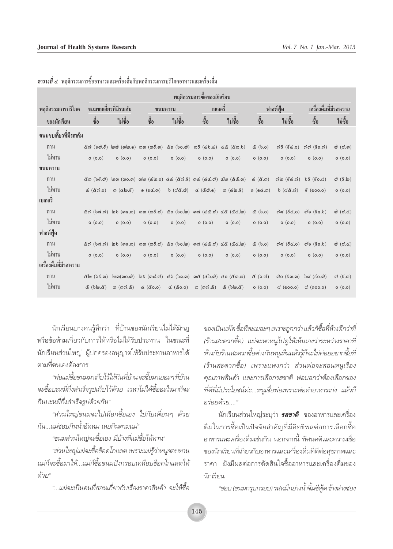|                        | ิพฤติกรรมการซื้อของนักเรียน |                                           |                                                                                      |              |                                                                                                             |                                                                                                                                                                                                                                                                  |                                                 |                                                    |                            |                                    |
|------------------------|-----------------------------|-------------------------------------------|--------------------------------------------------------------------------------------|--------------|-------------------------------------------------------------------------------------------------------------|------------------------------------------------------------------------------------------------------------------------------------------------------------------------------------------------------------------------------------------------------------------|-------------------------------------------------|----------------------------------------------------|----------------------------|------------------------------------|
| พฤติกรรมการบริโภค      |                             | ขนมขบเคี้ยวที่มีรสเค็ม                    |                                                                                      | ขนมหวาน      | เบเกอรี                                                                                                     |                                                                                                                                                                                                                                                                  |                                                 | ฟาสต์ฟู้ด                                          | เครื่องดื่มที่มีรสหวาน     |                                    |
| ของนักเรียน            | ซื้อ                        | ไม่ซื้อ                                   | ซื้อ                                                                                 | ไม่ซื้อ      | ซื้อ                                                                                                        | ไม่ซื้อ                                                                                                                                                                                                                                                          | ชื                                              | ไม่ซื้อ                                            | ซื้อ                       | ไม่ซื้อ                            |
| ขนมขบเคี้ยวที่มีรสเค็ม |                             |                                           |                                                                                      |              |                                                                                                             |                                                                                                                                                                                                                                                                  |                                                 |                                                    |                            |                                    |
| ทาน                    | &ග් ( <b>b</b> ග්.රි)       |                                           | lගෆ) (ගlග.ඉ) ගග (ග <b>&amp;.ග)</b>                                                   | & ග (bo.a)   |                                                                                                             | $m\bar{\epsilon}$ (cb.c) $\alpha\alpha$ (cm.b)                                                                                                                                                                                                                   | $(0.6)$ $\delta$                                | $\mathfrak{d} \mathfrak{F}$ (ಕೆ $\mathfrak{c}.$ o) | റിറി $(50.0)$              | $\omega$ (෬.෨)                     |
| ไม่ทาน                 | o(0.0)                      | O(0.0)                                    | O(0.0)                                                                               | O(0.0)       | O(0.0)                                                                                                      | O(0.0)                                                                                                                                                                                                                                                           | O(0.0)                                          | O(0.0)                                             | (0.0)                      | O(0.0)                             |
| ขนมหวาน                |                             |                                           |                                                                                      |              |                                                                                                             |                                                                                                                                                                                                                                                                  |                                                 |                                                    |                            |                                    |
| ทาน                    | &ග ( <b>ර්</b> දි.ෆ්)       |                                           |                                                                                      |              |                                                                                                             | $\mathbb{D}$ ത (ന $o$ .ന) ന $\mathbb{D}$ ( $\mathbb{C}$ ിയ.ஏ) $\mathbb{C}$ $\mathbb{C}$ ( $\mathbb{C}$ ്റീ. $\mathbb{C}$ ) ന $\mathbb{C}$ ( $\mathbb{C}$ $\mathbb{C}$ .) $\mathbb{C}$ ( $\mathbb{C}$ $\mathbb{C}$ .) $\mathbb{C}$ ( $\mathbb{C}$ $\mathbb{C}$ .) | $\propto$ (c, m)                                | ෆ <u>)</u> ම (දිය.ෆ)                               | $b\bar{c}$ (ಕಂ.ವ)          | $\omega$ (ອີ.ໄຫ)                   |
| ไม่ทาน                 | C(80.0)                     | ග ( <u>රැ</u> ම. රි)                      | $\circ$ $(\circ \circ \circ \cdot \circ \circ)$                                      | $b$ $(dd,d)$ | $d$ $(d\mathfrak{A}.9)$                                                                                     | <u> ග (ය\ග. &amp;)</u>                                                                                                                                                                                                                                           | $\circ$ $(\circ \circ \circ \cdot \circ \circ)$ | $b$ $(dd, d)$                                      | $\boldsymbol{\xi}$ (900.0) | O(0.0)                             |
| เบเกอริ่               |                             |                                           |                                                                                      |              |                                                                                                             |                                                                                                                                                                                                                                                                  |                                                 |                                                    |                            |                                    |
| ทาน                    |                             |                                           | ๕๗ (b๘.๗) ๒๖ (๓๑.๓) ๓๓ (๓๕.๘) ๕๐ (๖๐.๒) ๓๘ (๔๕.๘) ๔๕ (๕๔.๒)                          |              |                                                                                                             |                                                                                                                                                                                                                                                                  | $\&$ (b.o)                                      | $od$ ದೆ (ಕೆಡೆ.o)                                   | $ab$ $(50.b)$              | $\omega$ (d.d)                     |
| ไม่ทาน                 | o(0.0)                      | O(0.0)                                    | O(0.0)                                                                               | O(0.0)       | O(0.0)                                                                                                      | O(0.0)                                                                                                                                                                                                                                                           | O(0.0)                                          | O(0.0)                                             | O(0.0)                     | O(0.0)                             |
| ฟาสต์ฟู้ด              |                             |                                           |                                                                                      |              |                                                                                                             |                                                                                                                                                                                                                                                                  |                                                 |                                                    |                            |                                    |
| ทาน                    | &೧ (b๘.೧)                   |                                           | $\omega$ b (၈.၈) ၈၈ (၈ $\vec{c}$ .4) ៥o (bo. $\omega$ ) ၈d (៤៥.d) ៤៥ (៥៤. $\omega$ ) |              |                                                                                                             |                                                                                                                                                                                                                                                                  | (6.6)                                           | $od$ ದೆ (ಕೆ $\leq$ .0)                             | $ab$ $(50.b)$              | $\omega$ (d.d)                     |
| ไม่ทาน                 | O(0.0)                      | O(0.0)                                    | O(0.0)                                                                               | O(0.0)       | O(0.0)                                                                                                      | O(0.0)                                                                                                                                                                                                                                                           | O(0.0)                                          | O(0.0)                                             | O(0.0)                     | O(0.0)                             |
| เครื่องดื่มที่มีรสหวาน |                             |                                           |                                                                                      |              |                                                                                                             |                                                                                                                                                                                                                                                                  |                                                 |                                                    |                            |                                    |
| ทาน                    |                             | $\mathsf{Im}(\mathfrak{so}.\mathfrak{a})$ | $\mathfrak{g}(\mathfrak{g},\mathfrak{g})$                                            |              | $\infty$ b $(b \circledcirc. \circledcirc)$ $\circledcirc \circledcirc \in (\& \circledcirc. \circledcirc)$ |                                                                                                                                                                                                                                                                  | $\&$ $(b, c)$                                   | ෆ්o (6ග.ග)                                         | b๘ (೯o.๗)                  | $\omega$ ( $\epsilon$ . $\omega$ ) |
| ไม่ทาน                 | $(2.$ @d $($ )              | <i>ග</i> (ගෆි.ඊ)                          | (0.08)                                                                               | (0.08)       | <i>ග</i> (ගෆ).๕)                                                                                            | $(2.00)$ $8$                                                                                                                                                                                                                                                     | O(0.0)                                          | $\approx$ (900.0)                                  | $\approx$ (000.0)          | O(0.0)                             |

ี **ตารางที่ ๔** พฤติกรรมการซื้ออาหารและเครื่องคื่มกับพฤติกรรมการบริโภคอาหารและเครื่องคื่ม

นักเรียนบางคนรู้สึกว่า ที่บ้านของนักเรียนไม่ได้มีกฎ หรือข้อห้ามเกี่ยวกับการให้หรือไม่ให้รับประทาน ในขณะที่ นักเรียนส่วนใหญ่ ผู้ปกครองอนุญาตให้รับประทานอาหารได้ ็ตามที่ตนเองต้องการ

"พ่อแม่ซื้อขนมมาเก็บไว้ให้กินที่บ้านจะซื้อมาเยอะๆที่บ้าน จะซื้อบะหมี่กึ่งสำเร็จรูปเก็บไว้ด้วย เวลาไม่ได้ซื้ออะไรมาก็จะ กินบะหมี่กึ่งสำเร็จรูปด้วยกัน"

"ส่วนใหญ่ขนมจะไปเลือกซื้อเอง ไปกับเพื่อนๆ ด้วย กัน...แม่ชอบกินน้ำอัดลม เลยกินตามแม่"

"ขนมส่วนใหญ่จะซื้อเอง มีบ้างที่แม่ซื้อให้ทาน"

"ส่วนใหญ่แม่จะซื้อช็อคโกแลต เพราะแม่รู้ว่าหนูชอบทาน แม่ก็จะซื้อมาให้...แม่ก็ซื้อขนมปังกรอบเคลือบซ็อคโกแลตให้ ด้วย"

"...แม่จะเป็นคนที่สอนเกี่ยวกับเรื่องราคาสินค้า จะให้ซื้อ

ของเป็นแพ๊ค ซื้อทีละเยอะๆ เพราะถูกกว่า แล้วก็ซื้อที่ห้างดีกว่าที่ (ร้านสะดวกซื้อ) แม่จะพาหนูไปดูให้เห็นเองว่าระหว่างราคาที่ ห้างกับร้านสะดวกซื้อต่างกันหนูเห็นแล้วรู้ก็จะไม่ค่อยอยากซื้อที่ (ร้านสะดวกซื้อ) เพราะแพงกว่า ส่วนพ่อจะสอนหนูเรื่อง คุณภาพสินค้า และการเลือกรสชาติ พ่อบอกว่าต้องเลือกของ ที่ดีที่มีประโยชน์ค่ะ...หนูเชื่อพ่อเพราะพ่อทำอาหารเก่ง แล้วก็ อร่อยด้วย...."

้นักเรียนส่วนใหญ่ระบุว่า *รสชาติ* ของอาหารและเครื่อง ดื่มในการซื้อเป็นปัจจัยสำคัญที่มีอิทธิพลต่อการเลือกซื้อ ้อาหารและเครื่องดื่มเช่นกัน นอกจากนี้ ทัศนคติและความเชื่อ ของนักเรียนที่เกี่ยวกับอาหารและเครื่องดื่มที่ดีต่อสุขภาพและ ราคา ยังมีผลต่อการตัดสินใจซื้ออาหารและเครื่องดื่มของ นักเรียน

"ชอบ (ขนมกรุบกรอบ) รสหมึกย่างน้ำจิ้มซีฟู้ด ข้างล่างชอง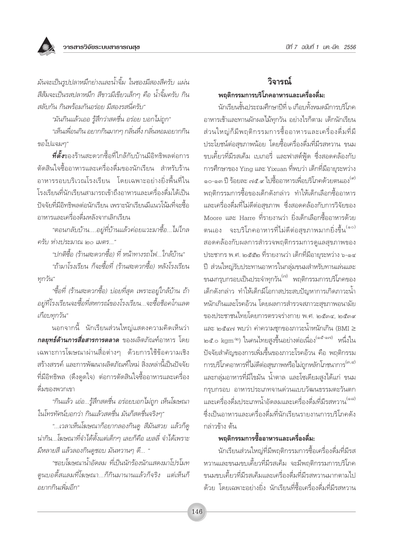

มันจะเป็นรูปปลาหมึกย่างและน้ำจิ้ม ในซองมีสองสีครับ แผ่น สีส้มจะเป็นรสปลาหมึก สีขาวมีเขียวเล็กๆ คือ น้ำจิ้มครับ กิน สลับกัน กินพร้อมกันอร่อย มีสองรสนี่ครับ"

"มันกินแล้วเออ รู้สึกว่าสดชื่น อร่อย บอกไม่ถูก"

"เห็นเพื่อนกิน อยากกินมากๆ กลิ่นหึ่ง กลิ่นหอมอยากกิน ขอไปแจมๆ"

**ที่ตั้ง**ของร้านสะดวกซื้อที่ใกล้กับบ้านมีอิทธิพลต่อการ ้ตัดสินใจซื้ออาหารและเครื่องดื่มของนักเรียน สำหรับร้าน อาหารรอบบริเวณโรงเรียน โดยเฉพาะอย่างยิ่งพื้นที่ใน โรงเรียนที่นักเรียนสามารถเข้าถึงอาหารและเครื่องดื่มได้เป็น ปัจจัยที่มีอิทธิพลต่อนักเรียน เพราะนักเรียนมีแนวโน้มที่จะซื้อ อาหารและเครื่องดื่มหลังจากเลิกเรียน

"ตอนกลับบ้าน....อยู่ที่บ้านแล้วค่อยแวะมาซื้อ...ไม่ไกล ครับ ห่างประมาณ ๒๐ เมตร..."

"ปกติซื้อ (ร้านสะดวกซื้อ) ที่ หน้าทางรถไฟ...ใกล้บ้าน"

"ถ้ามาโรงเรียน ก็จะซื้อที่ (ร้านสะดวกซื้อ) หลังโรงเรียน ทุกวัน"

"ซื้อที่ (ร้านสะดวกซื้อ) บ่อยที่สุด เพราะอยู่ใกล้บ้าน ถ้า ้อยู่ที่โรงเรียนจะซื้อที่สหกรณ์ของโรงเรียน...จะซื้อช็อคโกแลต เกือบทกวัน"

็นอกจากนี้ นักเรียนส่วนใหญ่แสดงความคิดเห็นว่า **กลยฺทธ์ด้านการสื่อสารการตลาด** ของผลิตภัณฑ์อาหาร โดย เฉพาะการโฆษณาผ่านสื่อต่างๆ ด้วยการใช้ข้อความเชิง สร้างสรรค์ และการพัฒนาผลิตภัณฑ์ใหม่ สิ่งเหล่านี้เป็นปัจจัย ที่มีอิทธิพล (ดึงดูดใจ) ต่อการตัดสินใจซื้ออาหารและเครื่อง ดื่มของพวกเขา

"กินแล้ว เอ่อ...รู้สึกสดชื่น อร่อยบอกไม่ถูก เห็นโฆษณา ในโทรทัศน์บอกว่า กินแล้วสดชื่น มันก็สดชื่นจริงๆ"

"...เวลาเห็นโฆษณาก็อยากลองกินดู สีมันสวย แล้วก็ดู น่ากิน...โฆษณาที่จำได้ตั้งแต่เด็กๆ เลยก็คือ เยลลี่ จำได้เพราะ มีหลายสี แล้วลองกินดูชอบ มันหวานๆ ดี... "

"ชอบโฆษณาน้ำอัดลม ที่เป็นนักร้องนักแสดงมาโปรโมท ตนบอดี้สแลมที่โฆษณา...ก็กินมานานแล้วก็จริง แต่เห็นก็ อยากกินเพิ่มอีก"

## วิลารณ์ พฤติกรรมการบริโภคอาหารและเครื่องดื่ม:

นักเรียนชั้นประถมศึกษาปีที่ ๖ เกือบทั้งหมดมีการบริโภค อาหารเช้าและทานผักผลไม้ทุกวัน อย่างไรก็ตาม เด็กนักเรียน ส่วนใหญ่ก็มีพฤติกรรมการซื้ออาหารและเครื่องดื่มที่มี ประโยชน์ต่อสุขภาพน้อย โดยซื้อเครื่องดื่มที่มีรสหวาน ขนม ขบเคี้ยวที่มีรสเค็ม เบเกอรี่ และฟาสต์ฟ้ด ซึ่งสอดคล้องกับ การศึกษาของ Ying และ Yixuan ที่พบว่า เด็กที่มีอายุระหว่าง ๑๐-๑๓ ปี ร้อยละ ๗๕.๙ ไปซื้ออาหารเพื่อบริโภคด้วยตนเอง<sup>(๙)</sup> ี พฤติกรรมการซื้อของเด็กดังกล่าว ทำให้เด็กเลือกซื้ออาหาร และเครื่องดื่มที่ไม่ดีต่อสุขภาพ ซึ่งสอดคล้องกับการวิจัยของ Moore และ Harre ที่รายงานว่า ยิ่งเด็กเลือกซื้ออาหารด้วย ตนเอง จะบริโภคอาหารที่ไม่ดีต่อสุขภาพมากยิ่งขึ้น<sup>(๑๐)</sup> สอดคล้องกับผลการสำรวจพฤติกรรมการดูแลสุขภาพของ ประชากร พ.ศ. ๒๕๕๒ ที่รายงานว่า เด็กที่มีอายุระหว่าง ๖-๑๔ ปี ส่วนใหญ่รับประทานอาหารในกลุ่มขนมสำหรับทานเล่นและ ขนมกรุบกรอบเป็นประจำทุกวัน<sup>(๗)</sup> พฤติกรรมการบริโภคของ เด็กดังกล่าว ทำให้เด็กมีโอกาสประสบปัญหาการเกิดภาวะน้ำ หนักเกินและโรคอ้วน โดยผลการสำรวจสภาวะสุขภาพอนามัย ของประชาชนไทยโดยการตรวจร่างกาย พ.ศ. ๒๕๓๔. ๒๕๓๙ และ ๒๕๔๗ พบว่า ค่าความชุกของภาวะน้ำหนักเกิน (BMI ≥ ๒๕.๐ kgm<sup>-๒</sup>) ในคนไทยสูงขึ้นอย่างต่อเนื่อง<sup>(๑๕-๑๗)</sup> หนึ่งใน ้ปัจจัยสำคัญของการเพิ่มขึ้นของภาวะโรคอ้วน คือ พฤติกรรม การบริโภคอาหารที่ไม่ดีต่อสุขภาพหรือไม่ถูกหลักโภชนาการ<sup>(๓,๔)</sup> และกลุ่มอาหารที่มีไขมัน น้ำตาล และโซเดียมสูงได้แก่ ขนม กรุบกรอบ อาหารประเภทจานด่วนแบบวัฒนธรรมตะวันตก และเครื่องดื่มประเภทน้ำอัดลมและเครื่องดื่มที่มีรสหวาน<sup>(๑๘)</sup> ์ซึ่งเป็นอาหารและเครื่องดื่มที่นักเรียนรายงานการบริโภคดัง กล่าวข้าง ต้น

### พฤติกรรมการซื้ออาหารและเครื่องดื่ม:

้นักเรียนส่วนใหญ่ที่มีพฤติกรรมการซื้อเครื่องดื่มที่มีรส หวานและขนมขบเคี้ยวที่มีรสเค็ม จะมีพถติกรรมการบริโภค ขนมขบเคี้ยวที่มีรสเค็มและเครื่องดื่มที่มีรสหวานมากตามไป ด้วย โดยเฉพาะอย่างยิ่ง นักเรียนที่ซื้อเครื่องดื่มที่มีรสหวาน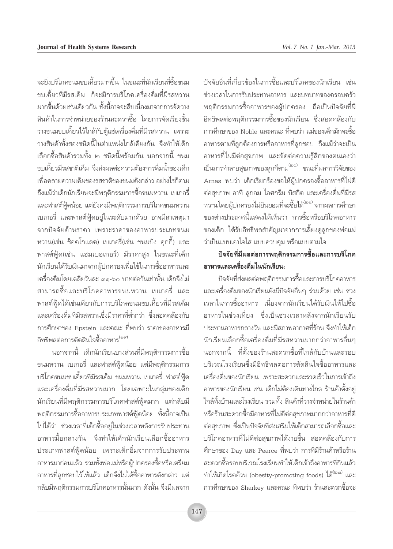้จะยิ่งบริโภคขนมขบเดี้ยวมากขึ้น ในขณะที่นักเรียนที่ซื้อขนม ขบเคี้ยวที่มีรสเค็ม ก็จะมีการบริโภคเครื่องดื่มที่มีรสหวาน มากขึ้นด้วยเช่นเดียวกัน ทั้งนี้อาจจะสืบเนื่องมาจากการจัดวาง ้สินค้าในการจำหน่ายของร้านสะดวกซื้อ โดยการจัดเรียงชั้น วางขนมขบเคี้ยวไว้ใกล้กับตู้แช่เครื่องดื่มที่มีรสหวาน เพราะ วางสินค้าทั้งสองชนิดนี้ในตำแหน่งใกล้เคียงกัน จึงทำให้เด็ก เลือกซื้อสินค้ารวมทั้ง 1๓ ชนิดนี้พร้อมกัน นอกจากนี้ ขนม ขบเคี้ยวมีรสชาติเค็ม จึงส่งผลต่อความต้องการดื่มน้ำของเด็ก เพื่อคลายความเค็มของรสชาติของขนมดังกล่าว อย่างไรก็ตาม ถึงแม้ว่าเด็กนักเรียนจะมีพฤติกรรมการซื้อขนมหวาน เบเกอรี่ และฟาสต์ฟู้ดน้อย แต่ยังคงมีพฤติกรรมการบริโภคขนมหวาน เบเกอรี่ และฟาสต์ฟู้ดอยู่ในระดับมากด้วย อาจมีสาเหตุมา จากปัจจัยด้านราคา เพราะราคาของอาหารประเภทขนม หวาน(เช่น ช็อคโกแลต) เบเกอรี่(เช่น ขนมปัง คกกี้) และ ฟาสต์ฟู้ด(เช่น แฮมเบอเกอร์) มีราคาสูง ในขณะที่เด็ก นักเรียนได้รับเงินมาจากผู้ปกครองเพื่อใช้ในการซื้ออาหารและ เครื่องดื่มโดยเฉลี่ยวันละ ๓๑-๖๐ บาทต่อวันเท่านั้น เด็กจึงไม่ ี่สามารถซื้อและบริโภคอาหารขนมหวาน เบเกอรี่ และ ฟาสต์ฟู้ดได้เช่นเดียวกับการบริโภคขนมขบเคี้ยวที่มีรสเค็ม และเครื่องดื่มที่มีรสหวานซึ่งมีราคาที่ต่ำกว่า ซึ่งสอดคล้องกับ การศึกษาของ Epstein และคณะ ที่พบว่า ราคาของอาหารมี ้อิทธิพลต่อการตัดสินใจซื้ออาหาร<sup>(๑๙)</sup>

้ นอกจากนี้ เด็กนักเรียนบางส่วนที่มีพฤติกรรมการซื้อ ขนมหวาน เบเกอรี่ และฟาสต์ฟู้ดน้อย แต่มีพฤติกรรมการ ้บริโภคขนมขบเคี้ยวที่มีรสเค็ม ขนมหวาน เบเกอรี่ ฟาสต์ฟู้ด และเครื่องดื่มที่มีรสหวานมาก โดยเฉพาะในกลุ่มของเด็ก นักเรียนที่มีพฤติกรรมการบริโภคฟาสต์ฟู้ดมาก แต่กลับมื พฤติกรรมการซื้ออาหารประเภทฟาสต์ฟู้ดน้อย ทั้งนี้อาจเป็น ไปได้ว่า ช่วงเวลาที่เด็กซื้ออยู่ในช่วงเวลาหลังการรับประทาน อาหารมื้อกลางวัน จึงทำให้เด็กนักเรียนเลือกซื้ออาหาร ประเภทฟาสต์ฟู้ดน้อย เพราะเด็กอิ่มจากการรับประทาน อาหารมาก่อนแล้ว รวมทั้งพ่อแม่หรือผู้ปกครองซื้อหรือเตรียม อาหารที่ลูกชอบไว้ให้แล้ว เด็กจึงไม่ได้ซื้ออาหารดังกล่าว แต่ ึกลับมีพฤติกรรมการบริโภคอาหารนั้นมาก ดังนั้น จึงมีผลจาก

้ ปัจจัยอื่นที่เกี่ยวข้องในการซื้อและบริโภคของนักเรียน เช่น ช่วงเวลาในการรับประทานอาหาร และบทบาทของครอบครัว ี พฤติกรรมการซื้ออาหารของผู้ปกครอง ถือเป็นปัจจัยที่มี ้อิทธิพลต่อพฤติกรรมการซื้อของนักเรียน ซึ่งสอดคล้องกับ การศึกษาของ Noble และคณะ ที่พบว่า แม่ของเด็กมักจะตื้อ ้อาหารตามที่ลูกต้องการหรืออาหารที่ลูกชอบ ถึงแม้ว่าจะเป็น ้อาหารที่ไม่มีต่อสุขภาพ และขัดต่อความรู้สึกของตนเองว่า เป็นการทำลายสุขภาพของลูกก็ตาม<sup>(๒๐)</sup> ขณะที่ผลการวิจัยของ Arnas พบว่า เด็กเรียกร้องขอให้ผ้ปกครองซื้ออาหารที่ไม่ดี ้ต่อสุขภาพ อาทิ ลูกอม ไอศกรีม บิสกิต และเครื่องดื่มที่มีรส หวานโดยผู้ปกครองไม่ยินยอมที่จะซื้อให้<sup>(๒๑)</sup> จากผลการศึกษา ของต่างประเทศนี้แสดงให้เห็นว่า การซื้อหรือบริโภคอาหาร ่ ของเด็ก ได้รับอิทธิพลสำคัญมาจากการเลี้ยงดูลูกของพ่อแม่ ว่าเป็นแบบเอาใจใส่ แบบควบคุม หรือแบบตามใจ

## ปัจจัยที่มีผลต่อการพฤติกรรมการซื้อและการบริโภค ้อาหารและเครื่องดื่มในนักเรียน:

ปัจจัยที่ส่งผลต่อพฤติกรรมการซื้อและการบริโภคอาหาร และเครื่องดื่มของนักเรียนยังมีปัจจัยอื่นๆ ร่วมด้วย เช่น ช่วง เวลาในการซื้ออาหาร เนื่องจากนักเรียนได้รับเงินให้ไปซื้อ อาหารในช่วงเที่ยง ซึ่งเป็นช่วงเวลาหลังจากนักเรียนรับ ประทานอาหารกลางวัน และมีสภาพอากาศที่ร้อน จึงทำให้เด็ก ้นักเรียนเลือกซื้อเครื่องดื่มที่มีรสหวานมากกว่าอาหารอื่นๆ นอกจากนี้ ที่ตั้งของร้านสะดวกซื้อที่ใกล้กับบ้านและรอบ ้<br>บริเวณโรงเรียนซึ่งมีอิทธิพลต่อการตัดสินใจซื้ออาหารและ ้เครื่องดื่มของนักเรียน เพราะสะดวกและรวดเร็วในการเข้าถึง อาหารของนักเรียน เช่น เด็กไม่ต้องเดินทางไกล ร้านค้าตั้งอย่ ใกล้ทั้งบ้านและโรงเรียน รวมทั้ง สินค้าที่วางจำหน่ายในร้านค้า หรือร้านสะดวกซื้อมือาหารที่ไม่ดีต่อสุขภาพมากกว่าอาหารที่ดี ้ต่อสุขภาพ ซึ่งเป็นปัจจัยที่ส่งเสริมให้เด็กสามารถเลือกซื้อและ บริโภคอาหารที่ไม่ดีต่อสุขภาพได้ง่ายขึ้น สอดคล้องกับการ ้ศึกษาของ Day และ Pearce ที่พบว่า การที่มีร้านค้าหรือร้าน สะดวกซื้อรอบบริเวณโรงเรียนทำให้เด็กเข้าถึงอาหารที่กินแล้ว ทำให้เกิดโรคอ้วน (obesity-promoting foods) ได้ การศึกษาของ Sharkey และคณะ ที่พบว่า ร้านสะดวกซื้อจะ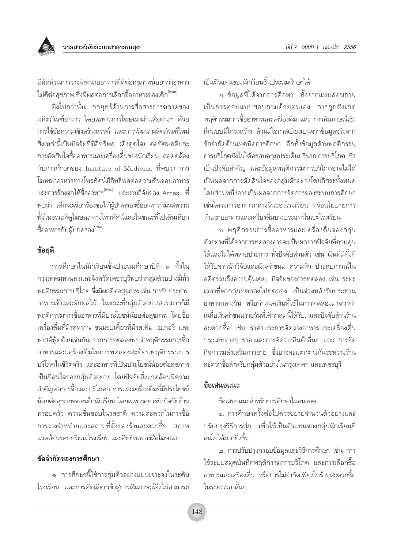

มีสัดส่วนการวางจำหน่ายอาหารที่ดีต่อสุขภาพน้อยกว่าอาหาร ไม่ดีต่อสุขภาพ ซึ่งมีผลต่อการเลือกซื้ออาหารของเด็ก<sup>(๒๓)</sup>

ยิ่งไปกว่านั้น กลยุทธ์ด้านการสื่อสารการตลาดของ ผลิตภัณฑ์อาหาร โดยเฉพาะการโฆษณาผ่านสื่อต่างๆ ด้วย การใช้ข้อความเชิงสร้างสรรค์ และการพัฒนาผลิตภัณฑ์ใหม่ สิ่งเหล่านี้เป็นปัจจัยที่มีอิทธิพล (ดึงดูดใจ) ต่อทัศนคติและ การตัดสินใจซื้ออาหารและเครื่องดื่มของนักเรียน สอดคล้อง กับการศึกษาของ Institute of Medicine ที่พบว่า การ โฆษณาอาหารทางโทรทัศน์มีอิทธิพลต่อความชื่นชอบอาหาร และการร้องขอให้ซื้ออาหาร<sup>(๒๔)</sup> และงานวิจัยของ Arnas ที่ พบว่า เด็กจะเรียกร้องขอให้ผู้ปกครองซื้ออาหารที่มีรสหวาน ทั้งในขณะที่ดูโฆษณาทางโทรทัศน์และในขณะที่ไปเดินเลือก ์ซื้ออาหารกับผู้ปกครอง<sup>(๒๑)</sup>

#### ข้อยุติ

การศึกษาในนักเรียนชั้นประถมศึกษาปีที่ ๖ ทั้งใน กรุงเทพมหานครและจังหวัดเพชรบุรีพบว่ากลุ่มตัวอย่างมีทั้ง พฤติกรรมการบริโภค ซึ่งมีผลดีต่อสุขภาพ เช่น การรับประทาน อาหารเช้าและผักผลไม้ ในขณะที่กลุ่มตัวอย่างส่วนมากก็มี ็พถติกรรมการซื้ออาหารที่มีประโยชน์น้อยต่อสขภาพ โดยซื้อ เครื่องดื่มที่มีรสหวาน ขนมขบเคี้ยวที่มีรสเค็ม เบเกอรี่ และ ี ฟาสต์ฟู้ดด้วยเช่นกัน จากการทดลองพบว่าพฤติกรรมการซื้อ ้อาหารและเครื่องดื่มในการทดลองสะท้อนพฤติกรรมการ บริโภคในชีวิตจริง และอาหารที่เป็นประโยชน์น้อยต่อสุขภาพ เป็นที่สนใจของกลุ่มตัวอย่าง โดยปัจจัยสิ่งแวดล้อมมีความ สำคัญต่อการซื้อและบริโภคอาหารและเครื่องดื่มที่มีประโยชน์ ้น้อยต่อสุขภาพของเด็กนักเรียน โดยเฉพาะอย่างยิ่งปัจจัยด้าน ครอบครัว ความชื่นชอบในรสชาติ ความสะดวกในการซื้อ การวางจำหน่ายและสถานที่ตั้งของร้านสะดวกซื้อ สภาพ แวดล้อมรอบบริเวณโรงเรียน และอิทธิพลของสื่อโฆษณา

### ข้อจำกัดของการศึกษา

๑. การศึกษานี้ใช้การสุ่มตัวอย่างแบบเจาะจงในระดับ โรงเรียน และการคัดเลือกเข้าสู่การสัมภาษณ์จึงไม่สามารถ เป็นตัวแทนของนักเรียนชั้นประถมศึกษาได้

ี ๒. ข้อมูลที่ได้จากการศึกษา ทั้งจากแบบสอบถาม เป็นการตอบแบบสอบถามด้วยตนเอง การถูกสังเกต ิพฤติกรรมการซื้ออาหารและเครื่องดื่ม และ การสัมภาษณ์เชิง ล็กแบบมีโครงสร้าง ล้วนมีโอกาสเบี่ยงเบนจากข้อมูลจริงจาก ข้อจำกัดด้านเทคนิคการศึกษา อีกทั้งข้อมูลด้านพฤติกรรม การบริโภคยังไม่ได้ครอบคลมประเด็นปริมาณการบริโภค ซึ่ง เป็นปัจจัยสำคัญ และข้อมูลพฤติกรรมการบริโภคอาจไม่ได้ เป็นผลจากการตัดสินใจของกล่มตัวอย่างโดยอิสระทั้งหมด โดยส่วนหนึ่งอาจเป็นผลจากการจัดการของระบบการศึกษา เช่นโครงการอาหารกลางวันของโรงเรียน หรือนโยบายการ ห้ามขายอาหารและเครื่องดื่มบางประเภทในเขตโรงเรียน

.๓. พฤติกรรมการซื้ออาหารและเครื่องดื่มของกลุ่ม ตัวอย่างที่ได้จากการทดลองอาจจะเป็นผลจากปัจจัยที่ควบคุม ได้และไม่ได้หลายประการ ทั้งปัจจัยส่วนตัว เช่น เงินที่มีทั้งที่ ได้รับจากนักวิจัยและเงินด่าขนม ความหิว ประสบการณ์ใน อดีตรวมถึงความคุ้นเคย, ปัจจัยของการทดลอง เช่น ระยะ เวลาที่พากลุ่มทดลองไปทดลอง เป็นช่วงหลังรับประทาน อาหารกลางวัน หรือกำหนดเงินที่ใช้ในการทดลองมาจากค่า เฉลี่ยเงินค่าขนมรายวันที่เด็กกล่มนี้ได้รับ. และปัจจัยด้านร้าน สะดวกซื้อ เช่น ราคาและการจัดวางอาหารและเครื่องดื่ม ประเภทต่างๆ ราคาและการจัดวางสินค้าอื่นๆ และ การจัด กิจกรรมส่งเสริมการขาย ซึ่งอาจจะแตกต่างกันระหว่างร้าน สะดวกซื้อสำหรับกลุ่มตัวอย่างในกรุงเทพฯ และเพชรบุรี

#### ข้อเสนอแนะ

ข้อเสนอแนะสำหรับการศึกษาในอนาคต

๑. การศึกษาครั้งต่อไปควรขยายจำนวนตัวอย่างและ ปรับปรุงวิธีการสุ่ม เพื่อให้เป็นตัวแทนของกลุ่มนักเรียนที่ สนใจได้มากยิ่งขึ้น

๒. การปรับปรุงกรอบข้อมูลและวิธีการศึกษา เช่น การ ใช้ระบบสมุดบันทึกพฤติกรรมการบริโภค และการเลือกซื้อ อาหารและเครื่องดื่ม หรือการไม่จำกัดเพียงในร้านสะดวกซื้อ ในระยะเวลาสั้นๆ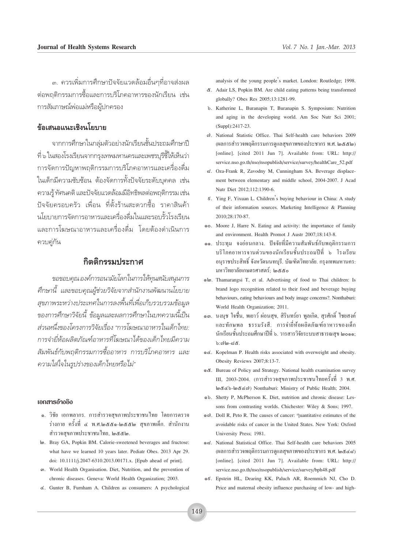.๓. ควรเพิ่มการศึกษาปัจจัยแวดล้อมอื่นๆที่อาจส่งผล ต่อพฤติกรรมการซื้อและการบริโภคอาหารของนักเรียน เช่น การสัมภาษณ์พ่อแม่หรือผู้ปกครอง

### ข้อเสนอแนะเชิงนโยบาย

จากการศึกษาในกลุ่มตัวอย่างนักเรียนชั้นประถมศึกษาปี ู้ที่ ๖ ในสองโรงเรียนจากกรงเทพมหานครและเพชรบรีชี้ให้เห็นว่า การจัดการปัญหาพฤติกรรมการบริโภคอาหารและเครื่องดื่ม ในเด็กมีความซับซ้อน ต้องจัดการทั้งปัจจัยระดับบุคคล เช่น ความรู้ ทัศนคติ และปัจจัยแวดล้อมมีอิทธิพลต่อพฤติกรรม เช่น ปัจจัยครอบครัว เพื่อน ที่ตั้งร้านสะดวกซื้อ ราคาสินค้า นโยบายการจัดการอาหารและเครื่องดื่มในและรอบรั้วโรงเรียน และการโฆษณาอาหารและเครื่องดื่ม โดยต้องดำเนินการ ควบค่กัน

#### กิตติกรรมประกาศ

ขอขอบคุณองค์การอนามัยโลกในการให้ทุนสนับสนุนการ คึกษานี้ และขอบคุณผู้ช่วยวิจัยจากสำนักงานพัฒนานโยบาย สุขภาพระหว่างประเทศในการลงพื้นที่เพื่อเก็บรวบรวมข้อมูล ของการศึกษาวิจัยนี้ ข้อมูลและผลการศึกษาในบทความนี้เป็น ส่วนหนึ่งของโครงการวิจัยเรื่อง "การโฆษณาอาหารในเด็กไทย: การจำยี่ห้อผลิตภัณฑ์อาหารที่โฆษณาได้ของเด็กไทยมีความ สัมพันธ์กับพฤติกรรมการซื้ออาหาร การบริโภคอาหาร และ ความใส่ใจในรูปร่างของเด็กไทยหรือไม่"

#### เอกสารอ้างอิง

- ๑. วิชัย เอกพลากร. การสำรวจสุขภาพประชาชนไทย โคยการตรวจ ร่างกาย ครั้งที่ ๔ พ.ศ.๒๕๕๑-๒๕๕๒ สุขภาพเด็ก. สำนักงาน สำรวจสุขภาพประชาชนไทย, ๒๕๕๒.
- lø. Bray GA, Popkin BM. Calorie-sweetened beverages and fructose: what have we learned 10 years later. Pediatr Obes. 2013 Apr 29. doi: 10.1111/j.2047-6310.2013.00171.x. [Epub ahead of print].
- 60. World Health Organisation. Diet, Nutrition, and the prevention of chronic diseases. Geneva: World Health Organization; 2003.
- &. Gunter B, Furnham A. Children as consumers: A psychological

analysis of the young people's market. London: Routledge; 1998.

- &. Adair LS, Popkin BM. Are child eating patterns being transformed globally? Obes Res 2005;13:1281-99.
- b. Katherine L. Buranapin T. Buranapin S. Symposium: Nutrition and aging in the developing world. Am Soc Nutr Sci 2001; (Suppl):2417-23.
- c). National Statistic Office. Thai Self-health care behaviors 2009 (ผลการสำรวจพฤติกรรมการดูแลสุขภาพของประชากร พ.ศ. ๒๕๕๒) [online]. [cited 2011 Jun 7]. Available from: URL: http:// service.nso.go.th/nso/nsopublish/service/survey/healthCare\_52.pdf
- d. Oza-Frank R, Zavodny M, Cunningham SA. Beverage displacement between elementary and middle school, 2004-2007. J Acad Nutr Diet 2012:112:1390-6.
- 6. Ying F, Yixuan L. Children's buying behaviour in China: A study of their information sources. Marketing Intelligence & Planning 2010:28:170-87.
- oo. Moore J, Harre N. Eating and activity: the importance of family and environment. Health Promot J Austr 2007;18:143-8.
- ๑๑. ประทม จงอ่อนกลาง. ปัจจัยที่มีความสัมพันธ์กับพฤติกรรมการ บริโภคอาหารจานค่วนของนักเรียนชั้นประถมปีที่ ๖ โรงเรียน อนุราชประสิทธิ์ จังหวัดนนทบุรี. บัณฑิตวิทยาลัย. กรุงเทพมหานคร: มหาวิทยาลัยเกษตรศาสตร์; ๒๕๕๐
- லிம. Thamarangsi T, et al. Advertising of food to Thai children: Is brand logo recognition related to their food and beverage buying behaviours, eating behaviours and body image concerns?. Nonthaburi: World Health Organization; 2011.
- ๑๓. นงนช ใจชื่น, พเยาว์ ผ่อนสข, สิรินทร์ยา พลเกิด, สรศักดิ์ ไชยสงค์ และทักษพล ธรรมรังสี. การจำยี่ห้อผลิตภัณฑ์อาหารของเด็ก นักเรียนชั้นประถมศึกษาปีที่ ๖. วารสารวิจัยระบบสาธารณสุข ๒๐๑๑;  $b:\infty$ lm-c $\ell$
- od. Kopelman P. Health risks associated with overweight and obesity. Obesity Reviews 2007;8:13-7.
- o&. Bureau of Policy and Strategy. National health examination survey III, 2003-2004. (การสำรวจสุขภาพประชาชนใทยครั้งที่ 3 พ.ศ. అడడb-అడడం) Nonthaburi: Ministry of Public Health; 2004.
- ob. Shetty P, McPherson K. Diet, nutrition and chronic disease: Lessons from contrasting worlds. Chichester: Wiley & Sons; 1997.
- ⊚ς». Doll R, Peto R. The causes of cancer: <sup>*o*</sup> quantitative estimates of the avoidable risks of cancer in the United States. New York: Oxford University Press; 1981.
- od. National Statistical Office. Thai Self-health care behaviors 2005 (ผลการสำรวจพฤติกรรมการดูแลสุขภาพของประชากร พ.ศ. ๒๕๔๘) [online]. [cited 2011 Jun 7]. Available from: URL: http:// service.nso.go.th/nso/nsopublish/service/survey/bph48.pdf
- os. Epstein HL, Dearing KK, Paluch AR, Roemmich NJ, Cho D. Price and maternal obesity influence purchasing of low- and high-